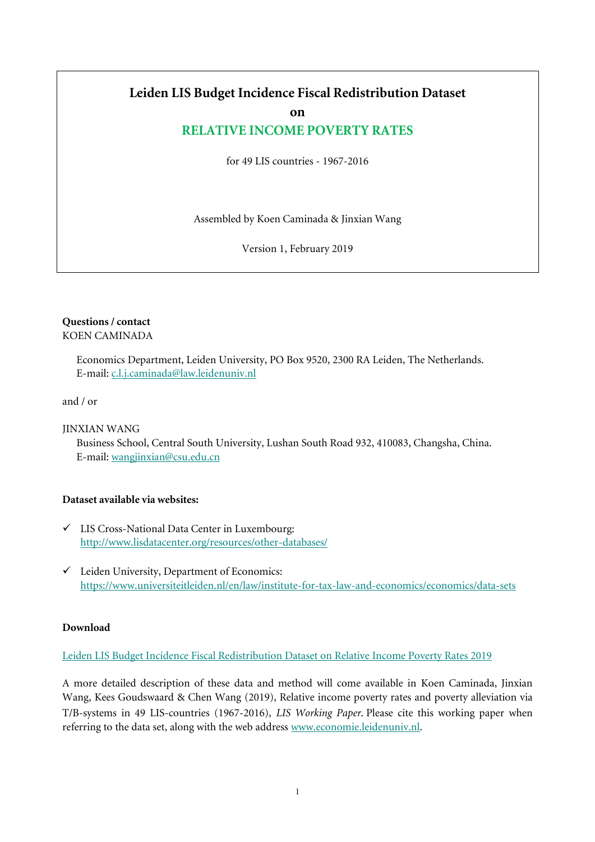# **Leiden LIS Budget Incidence Fiscal Redistribution Dataset**

**on**

# **RELATIVE INCOME POVERTY RATES**

for 49 LIS countries - 1967-2016

Assembled by Koen Caminada & Jinxian Wang

Version 1, February 2019

### **Questions / contact** KOEN CAMINADA

Economics Department, Leiden University, PO Box 9520, 2300 RA Leiden, The Netherlands. E-mail[: c.l.j.caminada@law.leidenuniv.nl](mailto:c.l.j.caminada@law.leidenuniv.nl)

and / or

JINXIAN WANG

Business School, Central South University, Lushan South Road 932, 410083, Changsha, China. E-mail: wangjinxian@csu.edu.cn

# **Dataset available via websites:**

- $\checkmark$  LIS Cross-National Data Center in Luxembourg: <http://www.lisdatacenter.org/resources/other-databases/>
- $\checkmark$  Leiden University, Department of Economics: <https://www.universiteitleiden.nl/en/law/institute-for-tax-law-and-economics/economics/data-sets>

# **Download**

[Leiden LIS Budget Incidence Fiscal Redistribution Dataset](https://www.universiteitleiden.nl/en/law/institute-for-tax-law-and-economics/economics/data-sets/leiden-lis-budget-incidence-fiscal-redistribution-dataset-on-relative-income-poverty-rates) on Relative Income Poverty Rates 2019

A more detailed description of these data and method will come available in Koen Caminada, Jinxian Wang, Kees Goudswaard & Chen Wang (2019), Relative income poverty rates and poverty alleviation via T/B-systems in 49 LIS-countries (1967-2016), *LIS Working Paper*. Please cite this working paper when referring to the data set, along with the web address [www.economie.leidenuniv.nl.](http://www.economie.leidenuniv.nl/)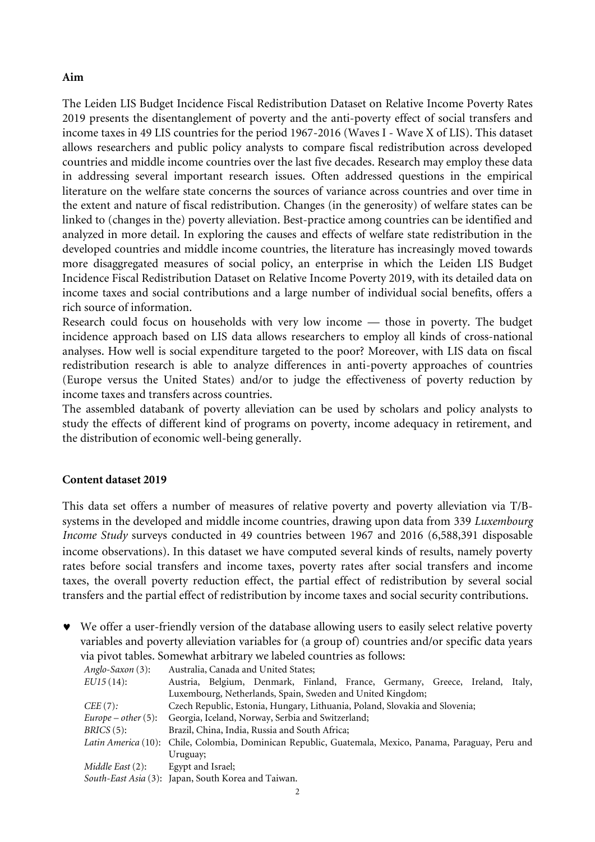# **Aim**

The Leiden LIS Budget Incidence Fiscal Redistribution Dataset on Relative Income Poverty Rates 2019 presents the disentanglement of poverty and the anti-poverty effect of social transfers and income taxes in 49 LIS countries for the period 1967-2016 (Waves I - Wave X of LIS). This dataset allows researchers and public policy analysts to compare fiscal redistribution across developed countries and middle income countries over the last five decades. Research may employ these data in addressing several important research issues. Often addressed questions in the empirical literature on the welfare state concerns the sources of variance across countries and over time in the extent and nature of fiscal redistribution. Changes (in the generosity) of welfare states can be linked to (changes in the) poverty alleviation. Best-practice among countries can be identified and analyzed in more detail. In exploring the causes and effects of welfare state redistribution in the developed countries and middle income countries, the literature has increasingly moved towards more disaggregated measures of social policy, an enterprise in which the Leiden LIS Budget Incidence Fiscal Redistribution Dataset on Relative Income Poverty 2019, with its detailed data on income taxes and social contributions and a large number of individual social benefits, offers a rich source of information.

Research could focus on households with very low income — those in poverty. The budget incidence approach based on LIS data allows researchers to employ all kinds of cross-national analyses. How well is social expenditure targeted to the poor? Moreover, with LIS data on fiscal redistribution research is able to analyze differences in anti-poverty approaches of countries (Europe versus the United States) and/or to judge the effectiveness of poverty reduction by income taxes and transfers across countries.

The assembled databank of poverty alleviation can be used by scholars and policy analysts to study the effects of different kind of programs on poverty, income adequacy in retirement, and the distribution of economic well-being generally.

# **Content dataset 2019**

This data set offers a number of measures of relative poverty and poverty alleviation via T/Bsystems in the developed and middle income countries, drawing upon data from 339 *Luxembourg Income Study* surveys conducted in 49 countries between 1967 and 2016 (6,588,391 disposable income observations). In this dataset we have computed several kinds of results, namely poverty rates before social transfers and income taxes, poverty rates after social transfers and income taxes, the overall poverty reduction effect, the partial effect of redistribution by several social transfers and the partial effect of redistribution by income taxes and social security contributions.

 We offer a user-friendly version of the database allowing users to easily select relative poverty variables and poverty alleviation variables for (a group of) countries and/or specific data years via pivot tables. Somewhat arbitrary we labeled countries as follows:

| Australia, Canada and United States;                                                                   |  |  |  |  |
|--------------------------------------------------------------------------------------------------------|--|--|--|--|
| Austria, Belgium, Denmark, Finland, France, Germany, Greece, Ireland, Italy,                           |  |  |  |  |
| Luxembourg, Netherlands, Spain, Sweden and United Kingdom;                                             |  |  |  |  |
| Czech Republic, Estonia, Hungary, Lithuania, Poland, Slovakia and Slovenia;                            |  |  |  |  |
| Georgia, Iceland, Norway, Serbia and Switzerland;                                                      |  |  |  |  |
| Brazil, China, India, Russia and South Africa;                                                         |  |  |  |  |
| Latin America (10): Chile, Colombia, Dominican Republic, Guatemala, Mexico, Panama, Paraguay, Peru and |  |  |  |  |
| Uruguay;                                                                                               |  |  |  |  |
| Egypt and Israel;                                                                                      |  |  |  |  |
| South-East Asia (3): Japan, South Korea and Taiwan.                                                    |  |  |  |  |
|                                                                                                        |  |  |  |  |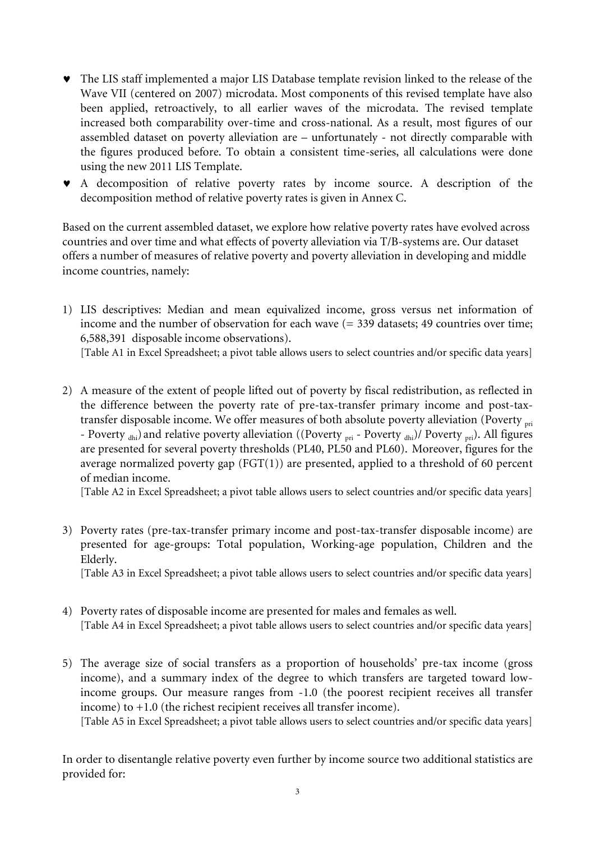- The LIS staff implemented a major LIS Database template revision linked to the release of the Wave VII (centered on 2007) microdata. Most components of this revised template have also been applied, retroactively, to all earlier waves of the microdata. The revised template increased both comparability over-time and cross-national. As a result, most figures of our assembled dataset on poverty alleviation are – unfortunately - not directly comparable with the figures produced before. To obtain a consistent time-series, all calculations were done using the new 2011 LIS Template.
- A decomposition of relative poverty rates by income source. A description of the decomposition method of relative poverty rates is given in Annex C.

Based on the current assembled dataset, we explore how relative poverty rates have evolved across countries and over time and what effects of poverty alleviation via T/B-systems are. Our dataset offers a number of measures of relative poverty and poverty alleviation in developing and middle income countries, namely:

1) LIS descriptives: Median and mean equivalized income, gross versus net information of income and the number of observation for each wave  $(= 339$  datasets; 49 countries over time; 6,588,391 disposable income observations).

[Table A1 in Excel Spreadsheet; a pivot table allows users to select countries and/or specific data years]

2) A measure of the extent of people lifted out of poverty by fiscal redistribution, as reflected in the difference between the poverty rate of pre-tax-transfer primary income and post-taxtransfer disposable income. We offer measures of both absolute poverty alleviation (Poverty <sub>pri</sub> - Poverty <sub>dhi</sub>) and relative poverty alleviation ((Poverty <sub>pri</sub> - Poverty <sub>dhi</sub>)/ Poverty <sub>pri</sub>). All figures are presented for several poverty thresholds (PL40, PL50 and PL60). Moreover, figures for the average normalized poverty gap (FGT(1)) are presented, applied to a threshold of 60 percent of median income.

[Table A2 in Excel Spreadsheet; a pivot table allows users to select countries and/or specific data years]

3) Poverty rates (pre-tax-transfer primary income and post-tax-transfer disposable income) are presented for age-groups: Total population, Working-age population, Children and the Elderly.

[Table A3 in Excel Spreadsheet; a pivot table allows users to select countries and/or specific data years]

- 4) Poverty rates of disposable income are presented for males and females as well. [Table A4 in Excel Spreadsheet; a pivot table allows users to select countries and/or specific data years]
- 5) The average size of social transfers as a proportion of households' pre-tax income (gross income), and a summary index of the degree to which transfers are targeted toward lowincome groups. Our measure ranges from -1.0 (the poorest recipient receives all transfer income) to +1.0 (the richest recipient receives all transfer income).

[Table A5 in Excel Spreadsheet; a pivot table allows users to select countries and/or specific data years]

In order to disentangle relative poverty even further by income source two additional statistics are provided for: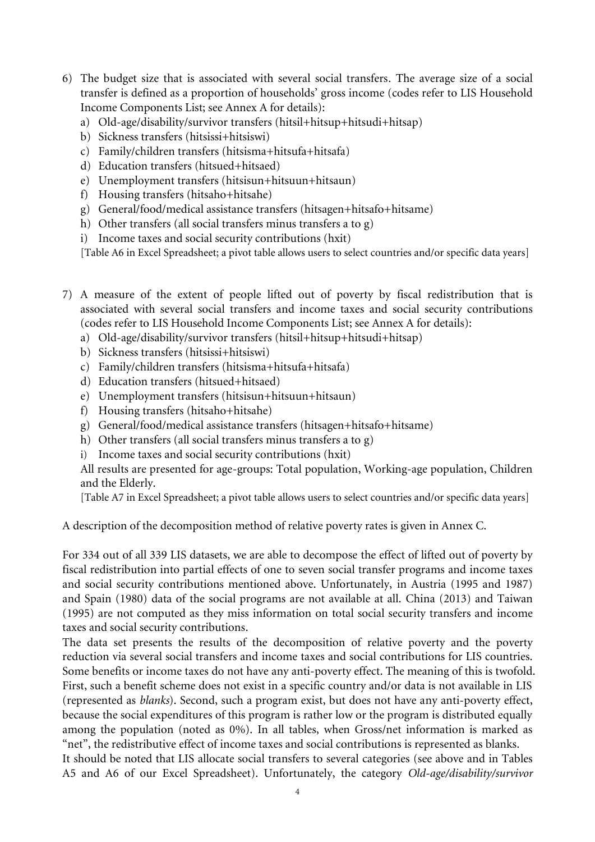- 6) The budget size that is associated with several social transfers. The average size of a social transfer is defined as a proportion of households' gross income (codes refer to LIS Household Income Components List; see Annex A for details):
	- a) Old-age/disability/survivor transfers (hitsil+hitsup+hitsudi+hitsap)
	- b) Sickness transfers (hitsissi+hitsiswi)
	- c) Family/children transfers (hitsisma+hitsufa+hitsafa)
	- d) Education transfers (hitsued+hitsaed)
	- e) Unemployment transfers (hitsisun+hitsuun+hitsaun)
	- f) Housing transfers (hitsaho+hitsahe)
	- g) General/food/medical assistance transfers (hitsagen+hitsafo+hitsame)
	- h) Other transfers (all social transfers minus transfers a to g)
	- i) Income taxes and social security contributions (hxit)

[Table A6 in Excel Spreadsheet; a pivot table allows users to select countries and/or specific data years]

- 7) A measure of the extent of people lifted out of poverty by fiscal redistribution that is associated with several social transfers and income taxes and social security contributions (codes refer to LIS Household Income Components List; see Annex A for details):
	- a) Old-age/disability/survivor transfers (hitsil+hitsup+hitsudi+hitsap)
	- b) Sickness transfers (hitsissi+hitsiswi)
	- c) Family/children transfers (hitsisma+hitsufa+hitsafa)
	- d) Education transfers (hitsued+hitsaed)
	- e) Unemployment transfers (hitsisun+hitsuun+hitsaun)
	- f) Housing transfers (hitsaho+hitsahe)
	- g) General/food/medical assistance transfers (hitsagen+hitsafo+hitsame)
	- h) Other transfers (all social transfers minus transfers a to g)
	- i) Income taxes and social security contributions (hxit)

All results are presented for age-groups: Total population, Working-age population, Children and the Elderly.

[Table A7 in Excel Spreadsheet; a pivot table allows users to select countries and/or specific data years]

A description of the decomposition method of relative poverty rates is given in Annex C.

For 334 out of all 339 LIS datasets, we are able to decompose the effect of lifted out of poverty by fiscal redistribution into partial effects of one to seven social transfer programs and income taxes and social security contributions mentioned above. Unfortunately, in Austria (1995 and 1987) and Spain (1980) data of the social programs are not available at all. China (2013) and Taiwan (1995) are not computed as they miss information on total social security transfers and income taxes and social security contributions.

The data set presents the results of the decomposition of relative poverty and the poverty reduction via several social transfers and income taxes and social contributions for LIS countries. Some benefits or income taxes do not have any anti-poverty effect. The meaning of this is twofold. First, such a benefit scheme does not exist in a specific country and/or data is not available in LIS (represented as *blanks*). Second, such a program exist, but does not have any anti-poverty effect, because the social expenditures of this program is rather low or the program is distributed equally among the population (noted as 0%). In all tables, when Gross/net information is marked as "net", the redistributive effect of income taxes and social contributions is represented as blanks.

It should be noted that LIS allocate social transfers to several categories (see above and in Tables A5 and A6 of our Excel Spreadsheet). Unfortunately, the category *Old-age/disability/survivor*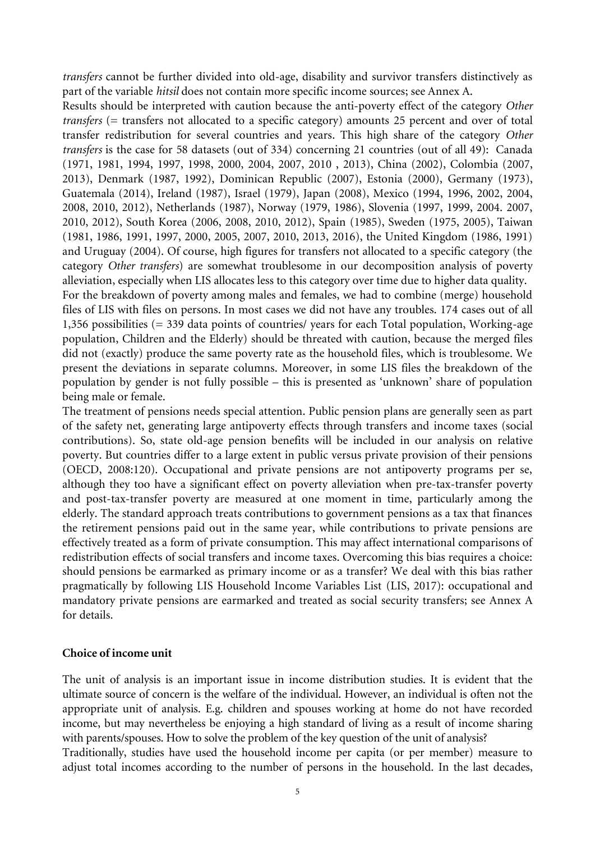*transfers* cannot be further divided into old-age, disability and survivor transfers distinctively as part of the variable *hitsil* does not contain more specific income sources; see Annex A.

Results should be interpreted with caution because the anti-poverty effect of the category *Other transfers* (= transfers not allocated to a specific category) amounts 25 percent and over of total transfer redistribution for several countries and years. This high share of the category *Other transfers* is the case for 58 datasets (out of 334) concerning 21 countries (out of all 49): Canada (1971, 1981, 1994, 1997, 1998, 2000, 2004, 2007, 2010 , 2013), China (2002), Colombia (2007, 2013), Denmark (1987, 1992), Dominican Republic (2007), Estonia (2000), Germany (1973), Guatemala (2014), Ireland (1987), Israel (1979), Japan (2008), Mexico (1994, 1996, 2002, 2004, 2008, 2010, 2012), Netherlands (1987), Norway (1979, 1986), Slovenia (1997, 1999, 2004. 2007, 2010, 2012), South Korea (2006, 2008, 2010, 2012), Spain (1985), Sweden (1975, 2005), Taiwan (1981, 1986, 1991, 1997, 2000, 2005, 2007, 2010, 2013, 2016), the United Kingdom (1986, 1991) and Uruguay (2004). Of course, high figures for transfers not allocated to a specific category (the category *Other transfers*) are somewhat troublesome in our decomposition analysis of poverty alleviation, especially when LIS allocates less to this category over time due to higher data quality.

For the breakdown of poverty among males and females, we had to combine (merge) household files of LIS with files on persons. In most cases we did not have any troubles. 174 cases out of all 1,356 possibilities (= 339 data points of countries/ years for each Total population, Working-age population, Children and the Elderly) should be threated with caution, because the merged files did not (exactly) produce the same poverty rate as the household files, which is troublesome. We present the deviations in separate columns. Moreover, in some LIS files the breakdown of the population by gender is not fully possible – this is presented as 'unknown' share of population being male or female.

The treatment of pensions needs special attention. Public pension plans are generally seen as part of the safety net, generating large antipoverty effects through transfers and income taxes (social contributions). So, state old-age pension benefits will be included in our analysis on relative poverty. But countries differ to a large extent in public versus private provision of their pensions (OECD, 2008:120). Occupational and private pensions are not antipoverty programs per se, although they too have a significant effect on poverty alleviation when pre-tax-transfer poverty and post-tax-transfer poverty are measured at one moment in time, particularly among the elderly. The standard approach treats contributions to government pensions as a tax that finances the retirement pensions paid out in the same year, while contributions to private pensions are effectively treated as a form of private consumption. This may affect international comparisons of redistribution effects of social transfers and income taxes. Overcoming this bias requires a choice: should pensions be earmarked as primary income or as a transfer? We deal with this bias rather pragmatically by following LIS Household Income Variables List (LIS, 2017): occupational and mandatory private pensions are earmarked and treated as social security transfers; see Annex A for details.

### **Choice of income unit**

The unit of analysis is an important issue in income distribution studies. It is evident that the ultimate source of concern is the welfare of the individual. However, an individual is often not the appropriate unit of analysis. E.g. children and spouses working at home do not have recorded income, but may nevertheless be enjoying a high standard of living as a result of income sharing with parents/spouses. How to solve the problem of the key question of the unit of analysis? Traditionally, studies have used the household income per capita (or per member) measure to adjust total incomes according to the number of persons in the household. In the last decades,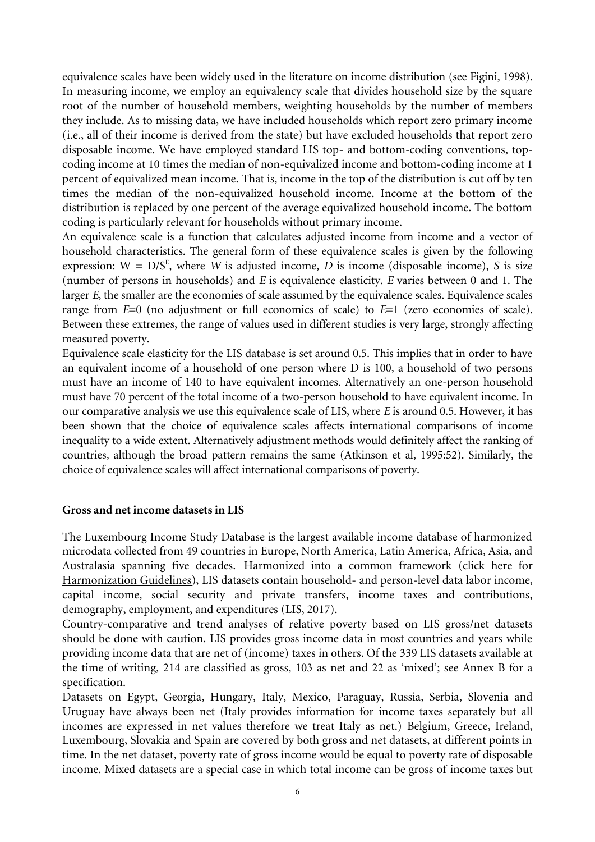equivalence scales have been widely used in the literature on income distribution (see Figini, 1998). In measuring income, we employ an equivalency scale that divides household size by the square root of the number of household members, weighting households by the number of members they include. As to missing data, we have included households which report zero primary income (i.e., all of their income is derived from the state) but have excluded households that report zero disposable income. We have employed standard LIS top- and bottom-coding conventions, topcoding income at 10 times the median of non-equivalized income and bottom-coding income at 1 percent of equivalized mean income. That is, income in the top of the distribution is cut off by ten times the median of the non-equivalized household income. Income at the bottom of the distribution is replaced by one percent of the average equivalized household income. The bottom coding is particularly relevant for households without primary income.

An equivalence scale is a function that calculates adjusted income from income and a vector of household characteristics. The general form of these equivalence scales is given by the following expression:  $W = D/S^E$ , where *W* is adjusted income, *D* is income (disposable income), *S* is size (number of persons in households) and *E* is equivalence elasticity. *E* varies between 0 and 1. The larger *E*, the smaller are the economies of scale assumed by the equivalence scales. Equivalence scales range from *E*=0 (no adjustment or full economics of scale) to *E*=1 (zero economies of scale). Between these extremes, the range of values used in different studies is very large, strongly affecting measured poverty.

Equivalence scale elasticity for the LIS database is set around 0.5. This implies that in order to have an equivalent income of a household of one person where D is 100, a household of two persons must have an income of 140 to have equivalent incomes. Alternatively an one-person household must have 70 percent of the total income of a two-person household to have equivalent income. In our comparative analysis we use this equivalence scale of LIS, where *E* is around 0.5. However, it has been shown that the choice of equivalence scales affects international comparisons of income inequality to a wide extent. Alternatively adjustment methods would definitely affect the ranking of countries, although the broad pattern remains the same (Atkinson et al, 1995:52). Similarly, the choice of equivalence scales will affect international comparisons of poverty.

### **Gross and net income datasets in LIS**

The Luxembourg Income Study Database is the largest available income database of harmonized microdata collected from 49 countries in Europe, North America, Latin America, Africa, Asia, and Australasia spanning five decades. Harmonized into a common framework [\(click here for](https://www.lisdatacenter.org/wp-content/uploads/files/data-lis-guide.pdf)  [Harmonization Guidelines\),](https://www.lisdatacenter.org/wp-content/uploads/files/data-lis-guide.pdf) LIS datasets contain household- and person-level data labor income, capital income, social security and private transfers, income taxes and contributions, demography, employment, and expenditures (LIS, 2017).

Country-comparative and trend analyses of relative poverty based on LIS gross/net datasets should be done with caution. LIS provides gross income data in most countries and years while providing income data that are net of (income) taxes in others. Of the 339 LIS datasets available at the time of writing, 214 are classified as gross, 103 as net and 22 as 'mixed'; see Annex B for a specification.

Datasets on Egypt, Georgia, Hungary, Italy, Mexico, Paraguay, Russia, Serbia, Slovenia and Uruguay have always been net (Italy provides information for income taxes separately but all incomes are expressed in net values therefore we treat Italy as net.) Belgium, Greece, Ireland, Luxembourg, Slovakia and Spain are covered by both gross and net datasets, at different points in time. In the net dataset, poverty rate of gross income would be equal to poverty rate of disposable income. Mixed datasets are a special case in which total income can be gross of income taxes but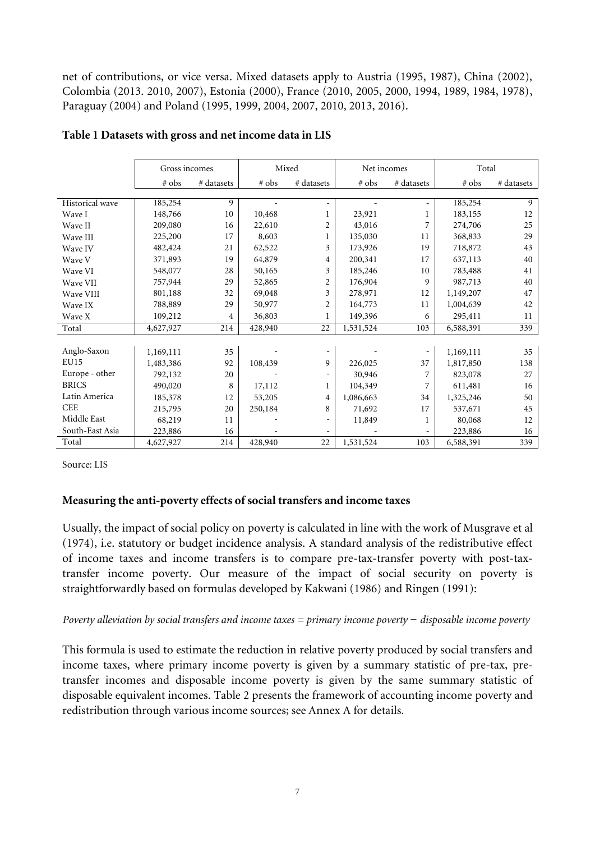net of contributions, or vice versa. Mixed datasets apply to Austria (1995, 1987), China (2002), Colombia (2013. 2010, 2007), Estonia (2000), France (2010, 2005, 2000, 1994, 1989, 1984, 1978), Paraguay (2004) and Poland (1995, 1999, 2004, 2007, 2010, 2013, 2016).

|                 | Gross incomes |            |         | Mixed      | Net incomes |            | Total     |            |
|-----------------|---------------|------------|---------|------------|-------------|------------|-----------|------------|
|                 | # obs         | # datasets | # obs   | # datasets | # obs       | # datasets | # obs     | # datasets |
|                 |               |            |         |            |             |            |           |            |
| Historical wave | 185,254       | 9          |         |            |             |            | 185,254   | 9          |
| Wave I          | 148,766       | 10         | 10,468  | 1          | 23,921      | 1          | 183,155   | 12         |
| Wave II         | 209,080       | 16         | 22,610  | 2          | 43,016      | 7          | 274,706   | 25         |
| Wave III        | 225,200       | 17         | 8,603   |            | 135,030     | 11         | 368,833   | 29         |
| Wave IV         | 482,424       | 21         | 62,522  | 3          | 173,926     | 19         | 718,872   | 43         |
| Wave V          | 371,893       | 19         | 64,879  | 4          | 200,341     | 17         | 637,113   | 40         |
| Wave VI         | 548,077       | 28         | 50,165  | 3          | 185,246     | 10         | 783,488   | 41         |
| Wave VII        | 757,944       | 29         | 52,865  | 2          | 176,904     | 9          | 987,713   | 40         |
| Wave VIII       | 801,188       | 32         | 69,048  | 3          | 278,971     | 12         | 1,149,207 | 47         |
| Wave IX         | 788,889       | 29         | 50,977  | 2          | 164,773     | 11         | 1,004,639 | 42         |
| Wave X          | 109,212       | 4          | 36,803  |            | 149,396     | 6          | 295,411   | 11         |
| Total           | 4,627,927     | 214        | 428,940 | 22         | 1,531,524   | 103        | 6,588,391 | 339        |
|                 |               |            |         |            |             |            |           |            |
| Anglo-Saxon     | 1,169,111     | 35         |         |            |             |            | 1,169,111 | 35         |
| EU15            | 1,483,386     | 92         | 108,439 | 9          | 226,025     | 37         | 1,817,850 | 138        |
| Europe - other  | 792,132       | 20         |         |            | 30,946      | 7          | 823,078   | 27         |
| <b>BRICS</b>    | 490,020       | 8          | 17,112  | 1          | 104,349     | 7          | 611,481   | 16         |
| Latin America   | 185,378       | 12         | 53,205  | 4          | 1,086,663   | 34         | 1,325,246 | 50         |
| <b>CEE</b>      | 215,795       | 20         | 250,184 | 8          | 71,692      | 17         | 537,671   | 45         |
| Middle East     | 68,219        | 11         |         |            | 11,849      | 1          | 80,068    | 12         |
| South-East Asia | 223,886       | 16         |         |            |             |            | 223,886   | 16         |
| Total           | 4,627,927     | 214        | 428,940 | 22         | 1,531,524   | 103        | 6,588,391 | 339        |

# **Table 1 Datasets with gross and net income data in LIS**

Source: LIS

# **Measuring the anti-poverty effects of social transfers and income taxes**

Usually, the impact of social policy on poverty is calculated in line with the work of Musgrave et al (1974), i.e. statutory or budget incidence analysis. A standard analysis of the redistributive effect of income taxes and income transfers is to compare pre-tax-transfer poverty with post-taxtransfer income poverty. Our measure of the impact of social security on poverty is straightforwardly based on formulas developed by Kakwani (1986) and Ringen (1991):

# *Poverty alleviation by social transfers and income taxes = primary income poverty − disposable income poverty*

This formula is used to estimate the reduction in relative poverty produced by social transfers and income taxes, where primary income poverty is given by a summary statistic of pre-tax, pretransfer incomes and disposable income poverty is given by the same summary statistic of disposable equivalent incomes. Table 2 presents the framework of accounting income poverty and redistribution through various income sources; see Annex A for details.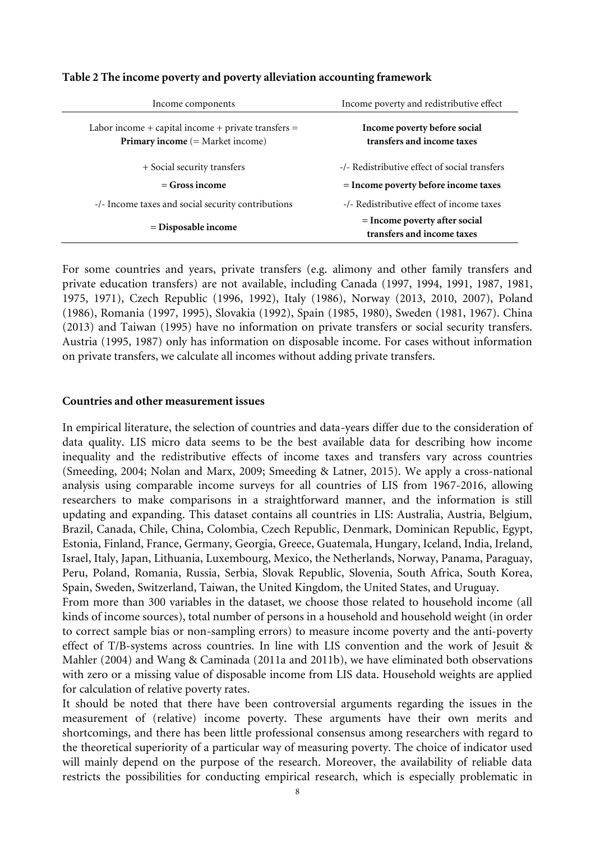| Income components                                                                                        | Income poverty and redistributive effect                      |
|----------------------------------------------------------------------------------------------------------|---------------------------------------------------------------|
| Labor income + capital income + private transfers $=$<br><b>Primary income</b> $(=\text{Market income})$ | Income poverty before social<br>transfers and income taxes    |
| + Social security transfers                                                                              | -/- Redistributive effect of social transfers                 |
| $=$ Gross income                                                                                         | = Income poverty before income taxes                          |
| -/- Income taxes and social security contributions                                                       | -/- Redistributive effect of income taxes                     |
| $=$ Disposable income                                                                                    | $=$ Income poverty after social<br>transfers and income taxes |

# **Table 2 The income poverty and poverty alleviation accounting framework**

For some countries and years, private transfers (e.g. alimony and other family transfers and private education transfers) are not available, including Canada (1997, 1994, 1991, 1987, 1981, 1975, 1971), Czech Republic (1996, 1992), Italy (1986), Norway (2013, 2010, 2007), Poland (1986), Romania (1997, 1995), Slovakia (1992), Spain (1985, 1980), Sweden (1981, 1967). China (2013) and Taiwan (1995) have no information on private transfers or social security transfers. Austria (1995, 1987) only has information on disposable income. For cases without information on private transfers, we calculate all incomes without adding private transfers.

# **Countries and other measurement issues**

In empirical literature, the selection of countries and data-years differ due to the consideration of data quality. LIS micro data seems to be the best available data for describing how income inequality and the redistributive effects of income taxes and transfers vary across countries (Smeeding, 2004; Nolan and Marx, 2009; Smeeding & Latner, 2015). We apply a cross-national analysis using comparable income surveys for all countries of LIS from 1967-2016, allowing researchers to make comparisons in a straightforward manner, and the information is still updating and expanding. This dataset contains all countries in LIS: Australia, Austria, Belgium, Brazil, Canada, Chile, China, Colombia, Czech Republic, Denmark, Dominican Republic, Egypt, Estonia, Finland, France, Germany, Georgia, Greece, Guatemala, Hungary, Iceland, India, Ireland, Israel, Italy, Japan, Lithuania, Luxembourg, Mexico, the Netherlands, Norway, Panama, Paraguay, Peru, Poland, Romania, Russia, Serbia, Slovak Republic, Slovenia, South Africa, South Korea, Spain, Sweden, Switzerland, Taiwan, the United Kingdom, the United States, and Uruguay.

From more than 300 variables in the dataset, we choose those related to household income (all kinds of income sources), total number of persons in a household and household weight (in order to correct sample bias or non-sampling errors) to measure income poverty and the anti-poverty effect of T/B-systems across countries. In line with LIS convention and the work of Jesuit & Mahler (2004) and Wang & Caminada (2011a and 2011b), we have eliminated both observations with zero or a missing value of disposable income from LIS data. Household weights are applied for calculation of relative poverty rates.

It should be noted that there have been controversial arguments regarding the issues in the measurement of (relative) income poverty. These arguments have their own merits and shortcomings, and there has been little professional consensus among researchers with regard to the theoretical superiority of a particular way of measuring poverty. The choice of indicator used will mainly depend on the purpose of the research. Moreover, the availability of reliable data restricts the possibilities for conducting empirical research, which is especially problematic in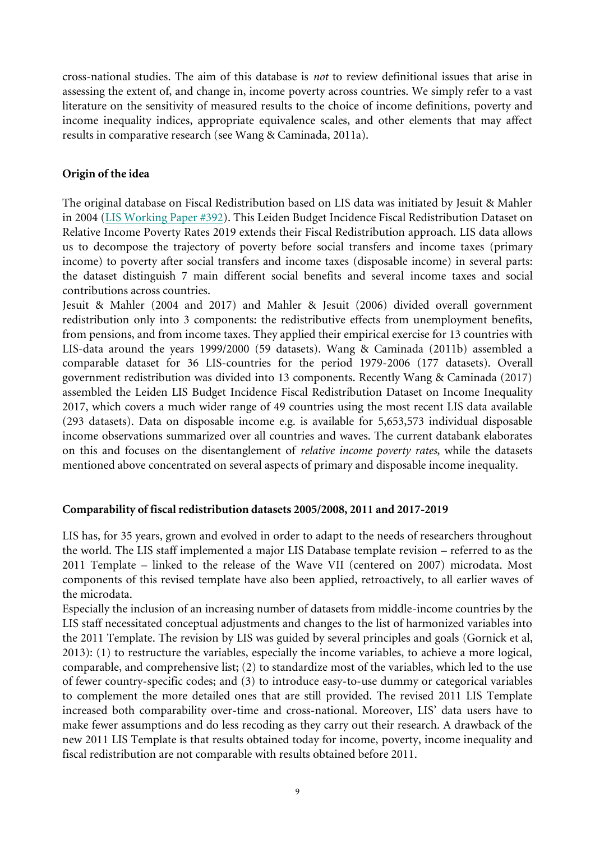cross-national studies. The aim of this database is *not* to review definitional issues that arise in assessing the extent of, and change in, income poverty across countries. We simply refer to a vast literature on the sensitivity of measured results to the choice of income definitions, poverty and income inequality indices, appropriate equivalence scales, and other elements that may affect results in comparative research (see Wang & Caminada, 2011a).

# **Origin of the idea**

The original database on Fiscal Redistribution based on LIS data was initiated by Jesuit & Mahler in 2004 [\(LIS Working Paper #392\)](http://www.lisdatacenter.org/wps/liswps/392.pdf). This Leiden Budget Incidence Fiscal Redistribution Dataset on Relative Income Poverty Rates 2019 extends their Fiscal Redistribution approach. LIS data allows us to decompose the trajectory of poverty before social transfers and income taxes (primary income) to poverty after social transfers and income taxes (disposable income) in several parts: the dataset distinguish 7 main different social benefits and several income taxes and social contributions across countries.

Jesuit & Mahler (2004 and 2017) and Mahler & Jesuit (2006) divided overall government redistribution only into 3 components: the redistributive effects from unemployment benefits, from pensions, and from income taxes. They applied their empirical exercise for 13 countries with LIS-data around the years 1999/2000 (59 datasets). Wang & Caminada (2011b) assembled a comparable dataset for 36 LIS-countries for the period 1979-2006 (177 datasets). Overall government redistribution was divided into 13 components. Recently Wang & Caminada (2017) assembled the Leiden LIS Budget Incidence Fiscal Redistribution Dataset on Income Inequality 2017, which covers a much wider range of 49 countries using the most recent LIS data available (293 datasets). Data on disposable income e.g. is available for 5,653,573 individual disposable income observations summarized over all countries and waves. The current databank elaborates on this and focuses on the disentanglement of *relative income poverty rates*, while the datasets mentioned above concentrated on several aspects of primary and disposable income inequality.

# **Comparability of fiscal redistribution datasets 2005/2008, 2011 and 2017-2019**

LIS has, for 35 years, grown and evolved in order to adapt to the needs of researchers throughout the world. The LIS staff implemented a major LIS Database template revision – referred to as the 2011 Template – linked to the release of the Wave VII (centered on 2007) microdata. Most components of this revised template have also been applied, retroactively, to all earlier waves of the microdata.

Especially the inclusion of an increasing number of datasets from middle-income countries by the LIS staff necessitated conceptual adjustments and changes to the list of harmonized variables into the 2011 Template. The revision by LIS was guided by several principles and goals (Gornick et al, 2013): (1) to restructure the variables, especially the income variables, to achieve a more logical, comparable, and comprehensive list; (2) to standardize most of the variables, which led to the use of fewer country-specific codes; and (3) to introduce easy-to-use dummy or categorical variables to complement the more detailed ones that are still provided. The revised 2011 LIS Template increased both comparability over-time and cross-national. Moreover, LIS' data users have to make fewer assumptions and do less recoding as they carry out their research. A drawback of the new 2011 LIS Template is that results obtained today for income, poverty, income inequality and fiscal redistribution are not comparable with results obtained before 2011.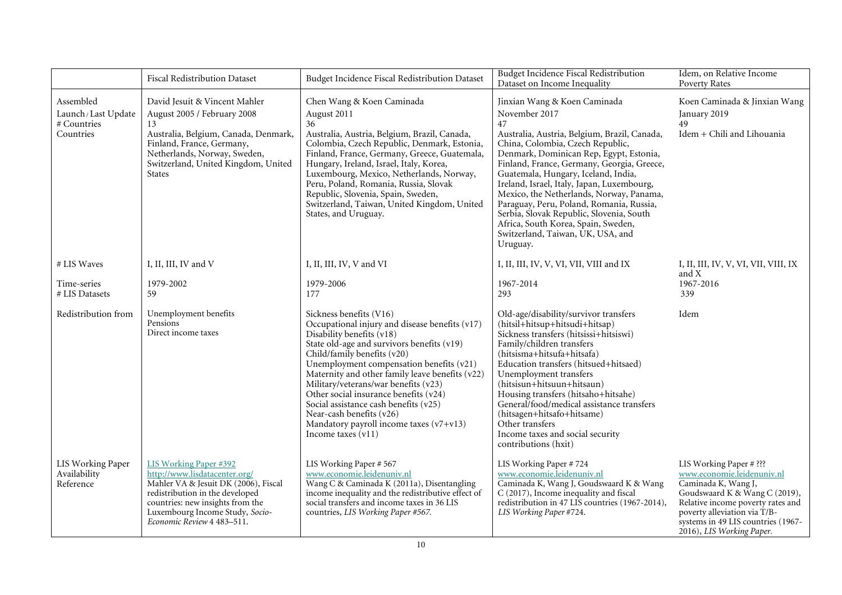|                                                             | <b>Fiscal Redistribution Dataset</b>                                                                                                                                                                                                    | Budget Incidence Fiscal Redistribution Dataset                                                                                                                                                                                                                                                                                                                                                                                                                                                              | Budget Incidence Fiscal Redistribution<br>Dataset on Income Inequality                                                                                                                                                                                                                                                                                                                                                                                                                                                                            | Idem, on Relative Income<br><b>Poverty Rates</b>                                                                                                                                                                                                      |
|-------------------------------------------------------------|-----------------------------------------------------------------------------------------------------------------------------------------------------------------------------------------------------------------------------------------|-------------------------------------------------------------------------------------------------------------------------------------------------------------------------------------------------------------------------------------------------------------------------------------------------------------------------------------------------------------------------------------------------------------------------------------------------------------------------------------------------------------|---------------------------------------------------------------------------------------------------------------------------------------------------------------------------------------------------------------------------------------------------------------------------------------------------------------------------------------------------------------------------------------------------------------------------------------------------------------------------------------------------------------------------------------------------|-------------------------------------------------------------------------------------------------------------------------------------------------------------------------------------------------------------------------------------------------------|
| Assembled<br>Launch/Last Update<br># Countries<br>Countries | David Jesuit & Vincent Mahler<br>August 2005 / February 2008<br>13<br>Australia, Belgium, Canada, Denmark,<br>Finland, France, Germany,<br>Netherlands, Norway, Sweden,<br>Switzerland, United Kingdom, United<br><b>States</b>         | Chen Wang & Koen Caminada<br>August 2011<br>36<br>Australia, Austria, Belgium, Brazil, Canada,<br>Colombia, Czech Republic, Denmark, Estonia,<br>Finland, France, Germany, Greece, Guatemala,<br>Hungary, Ireland, Israel, Italy, Korea,<br>Luxembourg, Mexico, Netherlands, Norway,<br>Peru, Poland, Romania, Russia, Slovak<br>Republic, Slovenia, Spain, Sweden,<br>Switzerland, Taiwan, United Kingdom, United<br>States, and Uruguay.                                                                  | Jinxian Wang & Koen Caminada<br>November 2017<br>47<br>Australia, Austria, Belgium, Brazil, Canada,<br>China, Colombia, Czech Republic,<br>Denmark, Dominican Rep, Egypt, Estonia,<br>Finland, France, Germany, Georgia, Greece,<br>Guatemala, Hungary, Iceland, India,<br>Ireland, Israel, Italy, Japan, Luxembourg,<br>Mexico, the Netherlands, Norway, Panama,<br>Paraguay, Peru, Poland, Romania, Russia,<br>Serbia, Slovak Republic, Slovenia, South<br>Africa, South Korea, Spain, Sweden,<br>Switzerland, Taiwan, UK, USA, and<br>Uruguay. | Koen Caminada & Jinxian Wang<br>January 2019<br>49<br>Idem + Chili and Lihouania                                                                                                                                                                      |
| $\#$ LIS Waves                                              | I, II, III, IV and V                                                                                                                                                                                                                    | I, II, III, IV, V and VI                                                                                                                                                                                                                                                                                                                                                                                                                                                                                    | I, II, III, IV, V, VI, VII, VIII and IX                                                                                                                                                                                                                                                                                                                                                                                                                                                                                                           | I, II, III, IV, V, VI, VII, VIII, IX<br>and X                                                                                                                                                                                                         |
| Time-series<br># LIS Datasets                               | 1979-2002<br>59                                                                                                                                                                                                                         | 1979-2006<br>177                                                                                                                                                                                                                                                                                                                                                                                                                                                                                            | 1967-2014<br>293                                                                                                                                                                                                                                                                                                                                                                                                                                                                                                                                  | 1967-2016<br>339                                                                                                                                                                                                                                      |
| Redistribution from                                         | Unemployment benefits<br>Pensions<br>Direct income taxes                                                                                                                                                                                | Sickness benefits (V16)<br>Occupational injury and disease benefits (v17)<br>Disability benefits (v18)<br>State old-age and survivors benefits (v19)<br>Child/family benefits (v20)<br>Unemployment compensation benefits (v21)<br>Maternity and other family leave benefits (v22)<br>Military/veterans/war benefits (v23)<br>Other social insurance benefits (v24)<br>Social assistance cash benefits (v25)<br>Near-cash benefits (v26)<br>Mandatory payroll income taxes (v7+v13)<br>Income taxes $(v11)$ | Old-age/disability/survivor transfers<br>(hitsil+hitsup+hitsudi+hitsap)<br>Sickness transfers (hitsissi+hitsiswi)<br>Family/children transfers<br>(hitsisma+hitsufa+hitsafa)<br>Education transfers (hitsued+hitsaed)<br>Unemployment transfers<br>(hitsisun+hitsuun+hitsaun)<br>Housing transfers (hitsaho+hitsahe)<br>General/food/medical assistance transfers<br>(hitsagen+hitsafo+hitsame)<br>Other transfers<br>Income taxes and social security<br>contributions (hxit)                                                                    | Idem                                                                                                                                                                                                                                                  |
| LIS Working Paper<br>Availability<br>Reference              | LIS Working Paper #392<br>http://www.lisdatacenter.org/<br>Mahler VA & Jesuit DK (2006), Fiscal<br>redistribution in the developed<br>countries: new insights from the<br>Luxembourg Income Study, Socio-<br>Economic Review 4 483-511. | LIS Working Paper # 567<br>www.economie.leidenuniv.nl<br>Wang C & Caminada K (2011a), Disentangling<br>income inequality and the redistributive effect of<br>social transfers and income taxes in 36 LIS<br>countries, LIS Working Paper #567.                                                                                                                                                                                                                                                              | LIS Working Paper #724<br>www.economie.leidenuniv.nl<br>Caminada K, Wang J, Goudswaard K & Wang<br>C (2017), Income inequality and fiscal<br>redistribution in 47 LIS countries (1967-2014),<br>LIS Working Paper #724.                                                                                                                                                                                                                                                                                                                           | IIS Working Paper # ???<br>www.economie.leidenuniv.nl<br>Caminada K, Wang J,<br>Goudswaard K & Wang C (2019),<br>Relative income poverty rates and<br>poverty alleviation via T/B-<br>systems in 49 LIS countries (1967-<br>2016), LIS Working Paper. |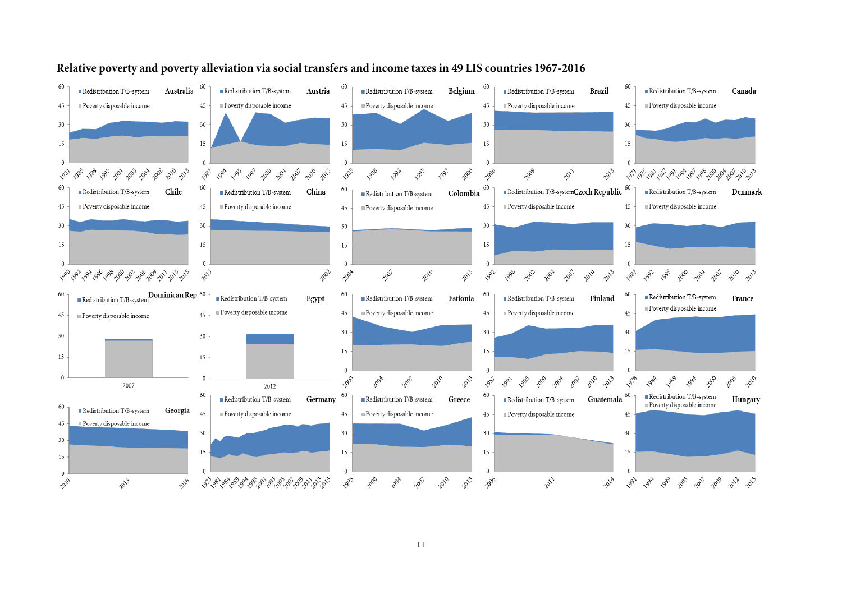

# **Relative poverty and poverty alleviation via social transfers and income taxes in 49 LIS countries 1967-2016**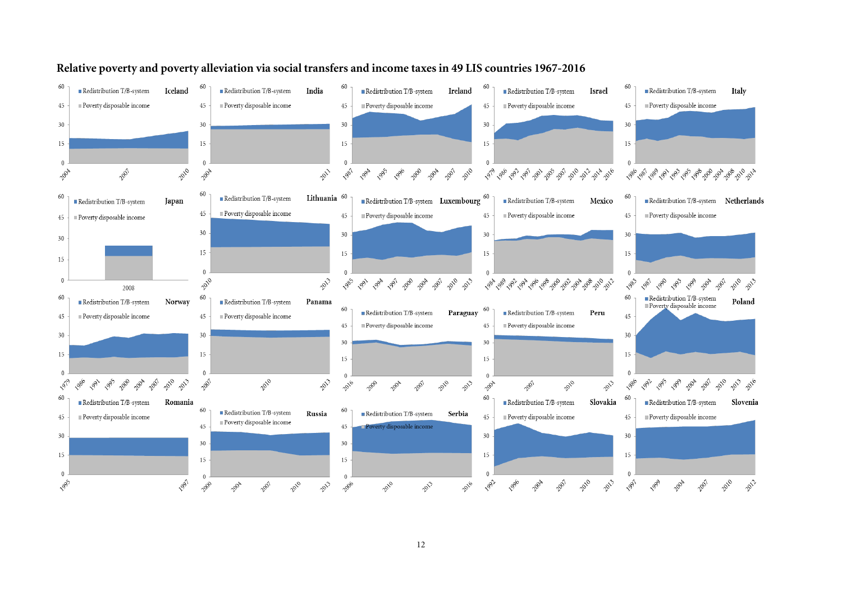

### **Relative poverty and poverty alleviation via social transfers and income taxes in 49 LIS countries 1967-2016**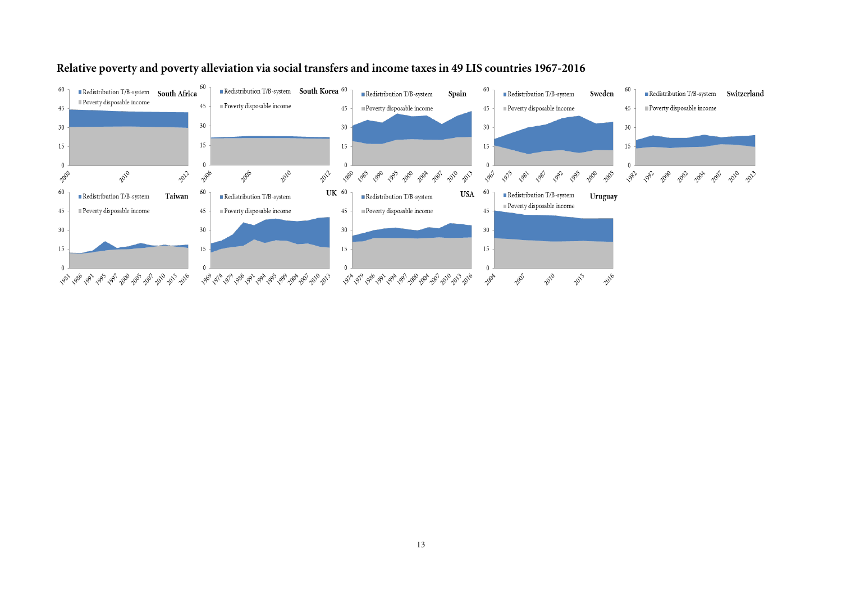

#### **Relative poverty and poverty alleviation via social transfers and income taxes in 49 LIS countries 1967-2016**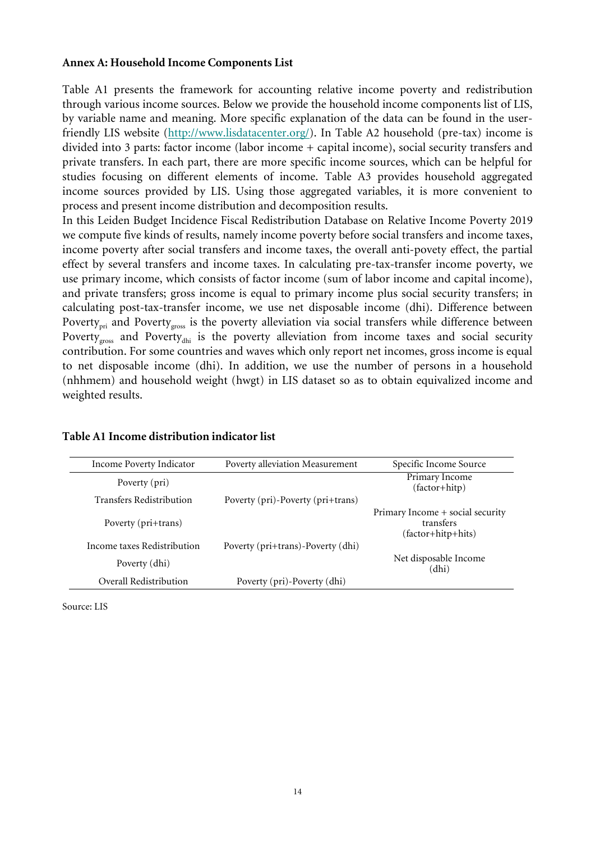# **Annex A: Household Income Components List**

Table A1 presents the framework for accounting relative income poverty and redistribution through various income sources. Below we provide the household income components list of LIS, by variable name and meaning. More specific explanation of the data can be found in the userfriendly LIS website [\(http://www.lisdatacenter.org/\)](http://www.lisdatacenter.org/). In Table A2 household (pre-tax) income is divided into 3 parts: factor income (labor income + capital income), social security transfers and private transfers. In each part, there are more specific income sources, which can be helpful for studies focusing on different elements of income. Table A3 provides household aggregated income sources provided by LIS. Using those aggregated variables, it is more convenient to process and present income distribution and decomposition results.

In this Leiden Budget Incidence Fiscal Redistribution Database on Relative Income Poverty 2019 we compute five kinds of results, namely income poverty before social transfers and income taxes, income poverty after social transfers and income taxes, the overall anti-povety effect, the partial effect by several transfers and income taxes. In calculating pre-tax-transfer income poverty, we use primary income, which consists of factor income (sum of labor income and capital income), and private transfers; gross income is equal to primary income plus social security transfers; in calculating post-tax-transfer income, we use net disposable income (dhi). Difference between Poverty<sub>pri</sub> and Poverty<sub>gross</sub> is the poverty alleviation via social transfers while difference between Poverty<sub>gross</sub> and Poverty<sub>dhi</sub> is the poverty alleviation from income taxes and social security contribution. For some countries and waves which only report net incomes, gross income is equal to net disposable income (dhi). In addition, we use the number of persons in a household (nhhmem) and household weight (hwgt) in LIS dataset so as to obtain equivalized income and weighted results.

| Income Poverty Indicator        | Poverty alleviation Measurement   | Specific Income Source                                              |
|---------------------------------|-----------------------------------|---------------------------------------------------------------------|
| Poverty (pri)                   |                                   | Primary Income<br>(factor+hitp)                                     |
| <b>Transfers Redistribution</b> | Poverty (pri)-Poverty (pri+trans) |                                                                     |
| Poverty (pri+trans)             |                                   | Primary Income + social security<br>transfers<br>(factor+hitp+hits) |
| Income taxes Redistribution     | Poverty (pri+trans)-Poverty (dhi) |                                                                     |
| Poverty (dhi)                   |                                   | Net disposable Income<br>(dhi)                                      |
| Overall Redistribution          | Poverty (pri)-Poverty (dhi)       |                                                                     |

### **Table A1 Income distribution indicator list**

Source: LIS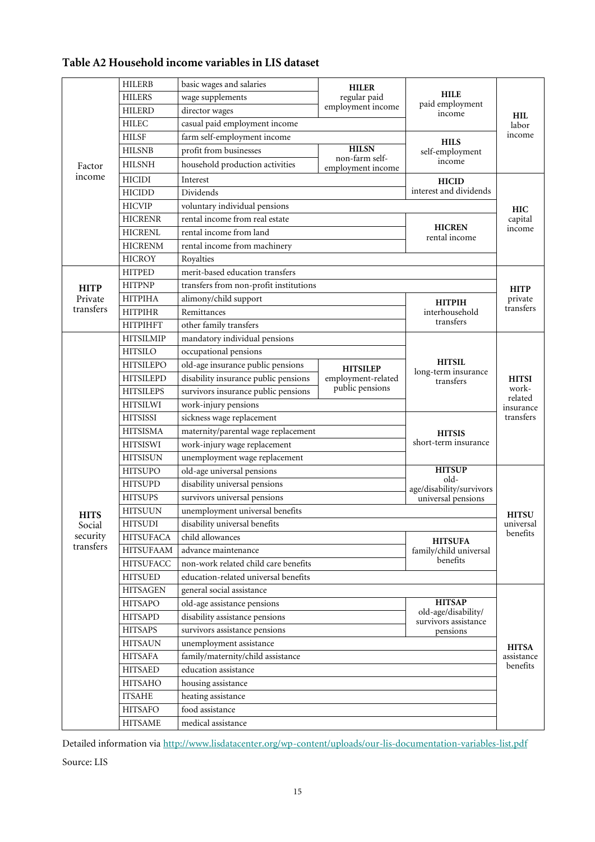# **Table A2 Household income variables in LIS dataset**

|                       | <b>HILERB</b>    | basic wages and salaries                        | <b>HILER</b>                                           |                                             |                                               |
|-----------------------|------------------|-------------------------------------------------|--------------------------------------------------------|---------------------------------------------|-----------------------------------------------|
|                       | <b>HILERS</b>    | wage supplements                                | regular paid                                           | <b>HILE</b><br>paid employment              |                                               |
|                       | <b>HILERD</b>    | director wages                                  | employment income                                      | income                                      | <b>HIL</b>                                    |
|                       | <b>HILEC</b>     | casual paid employment income                   |                                                        |                                             | labor                                         |
|                       | <b>HILSF</b>     | farm self-employment income                     | <b>HILS</b>                                            | income                                      |                                               |
|                       | <b>HILSNB</b>    | profit from businesses                          | <b>HILSN</b>                                           | self-employment                             |                                               |
| Factor                | <b>HILSNH</b>    | household production activities                 | non-farm self-<br>employment income                    | income                                      |                                               |
| income                | <b>HICIDI</b>    | Interest                                        |                                                        | <b>HICID</b>                                |                                               |
|                       | <b>HICIDD</b>    | Dividends                                       |                                                        | interest and dividends                      |                                               |
|                       | <b>HICVIP</b>    | voluntary individual pensions                   |                                                        | <b>HIC</b>                                  |                                               |
|                       | <b>HICRENR</b>   | rental income from real estate                  |                                                        | capital                                     |                                               |
|                       | <b>HICRENL</b>   | rental income from land                         |                                                        | <b>HICREN</b><br>rental income              | income                                        |
|                       | <b>HICRENM</b>   | rental income from machinery                    |                                                        |                                             |                                               |
|                       | <b>HICROY</b>    | Royalties                                       |                                                        |                                             |                                               |
|                       | <b>HITPED</b>    | merit-based education transfers                 |                                                        |                                             |                                               |
| <b>HITP</b>           | <b>HITPNP</b>    | transfers from non-profit institutions          |                                                        |                                             | <b>HITP</b>                                   |
| Private               | <b>HITPIHA</b>   | alimony/child support                           |                                                        | <b>HITPIH</b>                               | private                                       |
| transfers             | <b>HITPIHR</b>   | Remittances                                     |                                                        | interhousehold                              | transfers                                     |
|                       | <b>HITPIHFT</b>  | other family transfers                          |                                                        | transfers                                   |                                               |
|                       | <b>HITSILMIP</b> | mandatory individual pensions                   |                                                        |                                             |                                               |
|                       | <b>HITSILO</b>   | occupational pensions                           |                                                        |                                             | <b>HITSI</b><br>work-<br>related<br>insurance |
|                       | <b>HITSILEPO</b> | old-age insurance public pensions               | <b>HITSILEP</b>                                        | <b>HITSIL</b>                               |                                               |
|                       | <b>HITSILEPD</b> | disability insurance public pensions            | employment-related                                     | long-term insurance<br>transfers            |                                               |
|                       | <b>HITSILEPS</b> | survivors insurance public pensions             | public pensions                                        |                                             |                                               |
|                       | <b>HITSILWI</b>  | work-injury pensions                            |                                                        |                                             |                                               |
|                       | <b>HITSISSI</b>  | sickness wage replacement                       |                                                        | transfers                                   |                                               |
|                       | <b>HITSISMA</b>  | maternity/parental wage replacement             |                                                        | <b>HITSIS</b>                               |                                               |
|                       | <b>HITSISWI</b>  | work-injury wage replacement                    |                                                        | short-term insurance                        |                                               |
|                       | <b>HITSISUN</b>  | unemployment wage replacement                   |                                                        |                                             |                                               |
|                       | <b>HITSUPO</b>   | old-age universal pensions                      |                                                        | <b>HITSUP</b>                               |                                               |
|                       | <b>HITSUPD</b>   | disability universal pensions                   | old-<br>age/disability/survivors<br>universal pensions |                                             |                                               |
|                       | <b>HITSUPS</b>   | survivors universal pensions                    |                                                        |                                             |                                               |
|                       | <b>HITSUUN</b>   | unemployment universal benefits                 |                                                        |                                             |                                               |
| <b>HITS</b><br>Social | <b>HITSUDI</b>   | disability universal benefits                   |                                                        |                                             | <b>HITSU</b><br>universal                     |
| security              | <b>HITSUFACA</b> | child allowances                                |                                                        | <b>HITSUFA</b>                              | benefits                                      |
| transfers             | <b>HITSUFAAM</b> | advance maintenance                             |                                                        | family/child universal                      |                                               |
|                       | <b>HITSUFACC</b> | non-work related child care benefits            |                                                        | benefits                                    |                                               |
|                       | <b>HITSUED</b>   | education-related universal benefits            |                                                        |                                             |                                               |
|                       | <b>HITSAGEN</b>  | general social assistance                       |                                                        |                                             |                                               |
|                       | <b>HITSAPO</b>   | old-age assistance pensions                     |                                                        | <b>HITSAP</b>                               |                                               |
|                       | <b>HITSAPD</b>   | disability assistance pensions                  |                                                        | old-age/disability/<br>survivors assistance |                                               |
|                       | <b>HITSAPS</b>   | survivors assistance pensions                   |                                                        | pensions                                    |                                               |
|                       | <b>HITSAUN</b>   | unemployment assistance                         |                                                        | <b>HITSA</b>                                |                                               |
|                       | <b>HITSAFA</b>   | family/maternity/child assistance<br>assistance |                                                        |                                             |                                               |
|                       | <b>HITSAED</b>   | education assistance                            |                                                        |                                             |                                               |
|                       | <b>HITSAHO</b>   | housing assistance                              |                                                        |                                             |                                               |
|                       | <b>ITSAHE</b>    | heating assistance                              |                                                        |                                             |                                               |
|                       | <b>HITSAFO</b>   | food assistance                                 |                                                        |                                             |                                               |
|                       | <b>HITSAME</b>   | medical assistance                              |                                                        |                                             |                                               |
|                       |                  |                                                 |                                                        |                                             |                                               |

Detailed information via<http://www.lisdatacenter.org/wp-content/uploads/our-lis-documentation-variables-list.pdf>

Source: LIS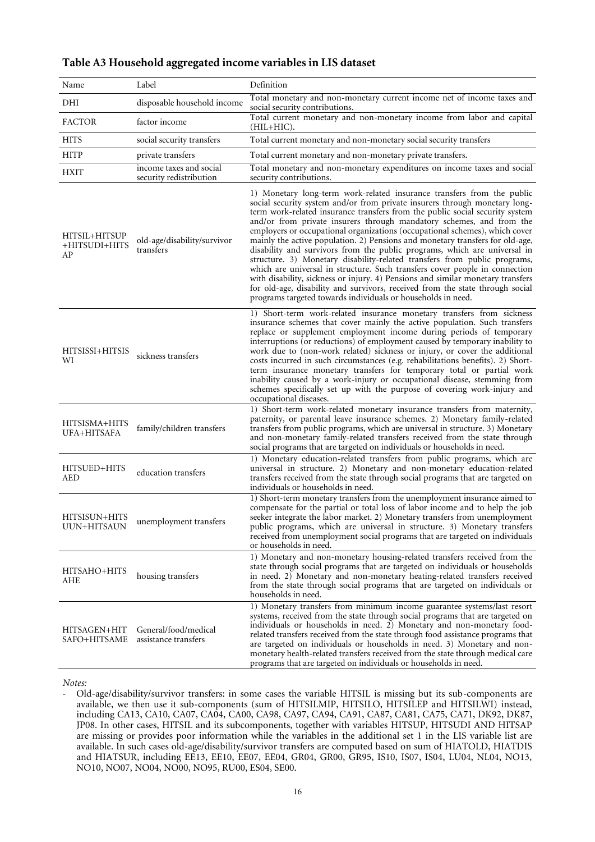| Name                                 | Label                                              | Definition                                                                                                                                                                                                                                                                                                                                                                                                                                                                                                                                                                                                                                                                                                                                                                                                                                                                                                                                                |
|--------------------------------------|----------------------------------------------------|-----------------------------------------------------------------------------------------------------------------------------------------------------------------------------------------------------------------------------------------------------------------------------------------------------------------------------------------------------------------------------------------------------------------------------------------------------------------------------------------------------------------------------------------------------------------------------------------------------------------------------------------------------------------------------------------------------------------------------------------------------------------------------------------------------------------------------------------------------------------------------------------------------------------------------------------------------------|
| DHI                                  | disposable household income                        | Total monetary and non-monetary current income net of income taxes and<br>social security contributions.                                                                                                                                                                                                                                                                                                                                                                                                                                                                                                                                                                                                                                                                                                                                                                                                                                                  |
| <b>FACTOR</b>                        | factor income                                      | Total current monetary and non-monetary income from labor and capital<br>(HIL+HIC).                                                                                                                                                                                                                                                                                                                                                                                                                                                                                                                                                                                                                                                                                                                                                                                                                                                                       |
| <b>HITS</b>                          | social security transfers                          | Total current monetary and non-monetary social security transfers                                                                                                                                                                                                                                                                                                                                                                                                                                                                                                                                                                                                                                                                                                                                                                                                                                                                                         |
| <b>HITP</b>                          | private transfers                                  | Total current monetary and non-monetary private transfers.                                                                                                                                                                                                                                                                                                                                                                                                                                                                                                                                                                                                                                                                                                                                                                                                                                                                                                |
| <b>HXIT</b>                          | income taxes and social<br>security redistribution | Total monetary and non-monetary expenditures on income taxes and social<br>security contributions.                                                                                                                                                                                                                                                                                                                                                                                                                                                                                                                                                                                                                                                                                                                                                                                                                                                        |
| HITSIL+HITSUP<br>+HITSUDI+HITS<br>AP | old-age/disability/survivor<br>transfers           | 1) Monetary long-term work-related insurance transfers from the public<br>social security system and/or from private insurers through monetary long-<br>term work-related insurance transfers from the public social security system<br>and/or from private insurers through mandatory schemes, and from the<br>employers or occupational organizations (occupational schemes), which cover<br>mainly the active population. 2) Pensions and monetary transfers for old-age,<br>disability and survivors from the public programs, which are universal in<br>structure. 3) Monetary disability-related transfers from public programs,<br>which are universal in structure. Such transfers cover people in connection<br>with disability, sickness or injury. 4) Pensions and similar monetary transfers<br>for old-age, disability and survivors, received from the state through social<br>programs targeted towards individuals or households in need. |
| HITSISSI+HITSIS<br>WI                | sickness transfers                                 | 1) Short-term work-related insurance monetary transfers from sickness<br>insurance schemes that cover mainly the active population. Such transfers<br>replace or supplement employment income during periods of temporary<br>interruptions (or reductions) of employment caused by temporary inability to<br>work due to (non-work related) sickness or injury, or cover the additional<br>costs incurred in such circumstances (e.g. rehabilitations benefits). 2) Short-<br>term insurance monetary transfers for temporary total or partial work<br>inability caused by a work-injury or occupational disease, stemming from<br>schemes specifically set up with the purpose of covering work-injury and<br>occupational diseases.                                                                                                                                                                                                                     |
| HITSISMA+HITS<br>UFA+HITSAFA         | family/children transfers                          | 1) Short-term work-related monetary insurance transfers from maternity,<br>paternity, or parental leave insurance schemes. 2) Monetary family-related<br>transfers from public programs, which are universal in structure. 3) Monetary<br>and non-monetary family-related transfers received from the state through<br>social programs that are targeted on individuals or households in need.                                                                                                                                                                                                                                                                                                                                                                                                                                                                                                                                                            |
| <b>HITSUED+HITS</b><br>AED           | education transfers                                | 1) Monetary education-related transfers from public programs, which are<br>universal in structure. 2) Monetary and non-monetary education-related<br>transfers received from the state through social programs that are targeted on<br>individuals or households in need.                                                                                                                                                                                                                                                                                                                                                                                                                                                                                                                                                                                                                                                                                 |
| HITSISUN+HITS<br>UUN+HIISAUN         | unemployment transfers                             | 1) Short-term monetary transfers from the unemployment insurance aimed to<br>compensate for the partial or total loss of labor income and to help the job<br>seeker integrate the labor market. 2) Monetary transfers from unemployment<br>public programs, which are universal in structure. 3) Monetary transfers<br>received from unemployment social programs that are targeted on individuals<br>or households in need.                                                                                                                                                                                                                                                                                                                                                                                                                                                                                                                              |
| HITSAHO+HITS<br>AHE                  | housing transfers                                  | 1) Monetary and non-monetary housing-related transfers received from the<br>state through social programs that are targeted on individuals or households<br>in need. 2) Monetary and non-monetary heating-related transfers received<br>from the state through social programs that are targeted on individuals or<br>households in need.                                                                                                                                                                                                                                                                                                                                                                                                                                                                                                                                                                                                                 |
| HITSAGEN+HIT<br>SAFO+HITSAME         | General/food/medical<br>assistance transfers       | 1) Monetary transfers from minimum income guarantee systems/last resort<br>systems, received from the state through social programs that are targeted on<br>individuals or households in need. 2) Monetary and non-monetary food-<br>related transfers received from the state through food assistance programs that<br>are targeted on individuals or households in need. 3) Monetary and non-<br>monetary health-related transfers received from the state through medical care<br>programs that are targeted on individuals or households in need.                                                                                                                                                                                                                                                                                                                                                                                                     |

# **Table A3 Household aggregated income variables in LIS dataset**

*Notes:* 

<sup>-</sup> Old-age/disability/survivor transfers: in some cases the variable HITSIL is missing but its sub-components are available, we then use it sub-components (sum of HITSILMIP, HITSILO, HITSILEP and HITSILWI) instead, including CA13, CA10, CA07, CA04, CA00, CA98, CA97, CA94, CA91, CA87, CA81, CA75, CA71, DK92, DK87, JP08. In other cases, HITSIL and its subcomponents, together with variables HITSUP, HITSUDI AND HITSAP are missing or provides poor information while the variables in the additional set 1 in the LIS variable list are available. In such cases old-age/disability/survivor transfers are computed based on sum of HIATOLD, HIATDIS and HIATSUR, including EE13, EE10, EE07, EE04, GR04, GR00, GR95, IS10, IS07, IS04, LU04, NL04, NO13, NO10, NO07, NO04, NO00, NO95, RU00, ES04, SE00.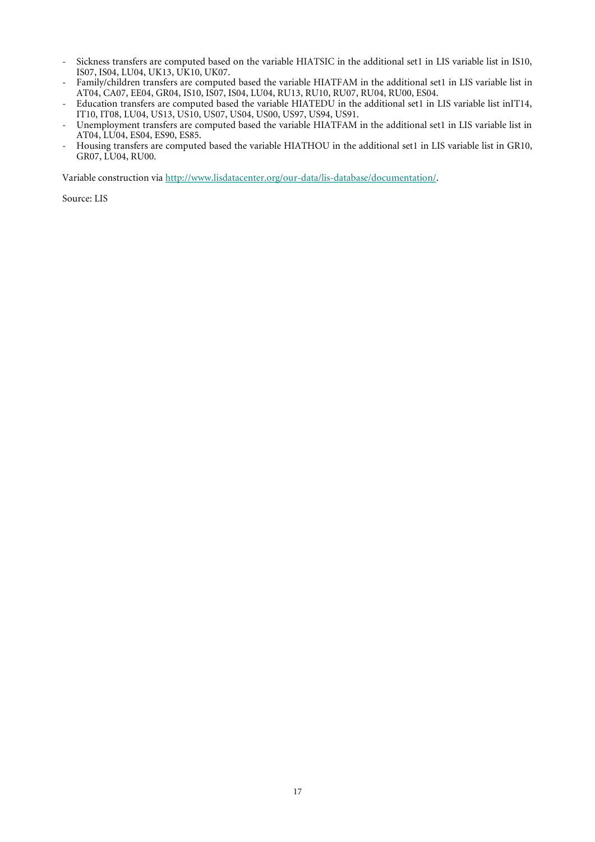- Sickness transfers are computed based on the variable HIATSIC in the additional set1 in LIS variable list in IS10, IS07, IS04, LU04, UK13, UK10, UK07.
- Family/children transfers are computed based the variable HIATFAM in the additional set1 in LIS variable list in AT04, CA07, EE04, GR04, IS10, IS07, IS04, LU04, RU13, RU10, RU07, RU04, RU00, ES04.
- Education transfers are computed based the variable HIATEDU in the additional set1 in LIS variable list inIT14, IT10, IT08, LU04, US13, US10, US07, US04, US00, US97, US94, US91.
- Unemployment transfers are computed based the variable HIATFAM in the additional set1 in LIS variable list in AT04, LU04, ES04, ES90, ES85.
- Housing transfers are computed based the variable HIATHOU in the additional set1 in LIS variable list in GR10, GR07, LU04, RU00.

Variable construction vi[a http://www.lisdatacenter.org/our-data/lis-database/documentation/.](http://www.lisdatacenter.org/our-data/lis-database/documentation/)

Source: LIS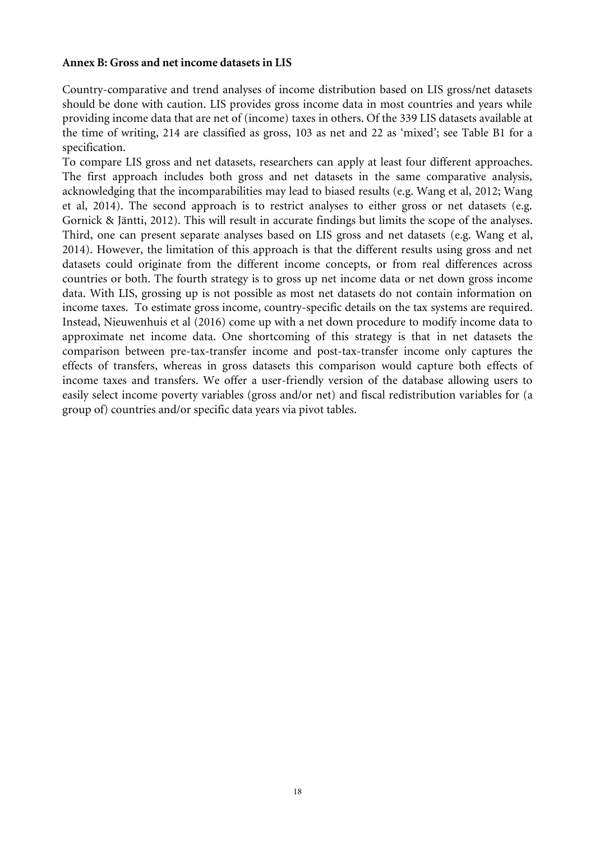# **Annex B: Gross and net income datasets in LIS**

Country-comparative and trend analyses of income distribution based on LIS gross/net datasets should be done with caution. LIS provides gross income data in most countries and years while providing income data that are net of (income) taxes in others. Of the 339 LIS datasets available at the time of writing, 214 are classified as gross, 103 as net and 22 as 'mixed'; see Table B1 for a specification.

To compare LIS gross and net datasets, researchers can apply at least four different approaches. The first approach includes both gross and net datasets in the same comparative analysis, acknowledging that the incomparabilities may lead to biased results (e.g. Wang et al, 2012; Wang et al, 2014). The second approach is to restrict analyses to either gross or net datasets (e.g. Gornick & Jäntti, 2012). This will result in accurate findings but limits the scope of the analyses. Third, one can present separate analyses based on LIS gross and net datasets (e.g. Wang et al, 2014). However, the limitation of this approach is that the different results using gross and net datasets could originate from the different income concepts, or from real differences across countries or both. The fourth strategy is to gross up net income data or net down gross income data. With LIS, grossing up is not possible as most net datasets do not contain information on income taxes. To estimate gross income, country-specific details on the tax systems are required. Instead, Nieuwenhuis et al (2016) come up with a net down procedure to modify income data to approximate net income data. One shortcoming of this strategy is that in net datasets the comparison between pre-tax-transfer income and post-tax-transfer income only captures the effects of transfers, whereas in gross datasets this comparison would capture both effects of income taxes and transfers. We offer a user-friendly version of the database allowing users to easily select income poverty variables (gross and/or net) and fiscal redistribution variables for (a group of) countries and/or specific data years via pivot tables.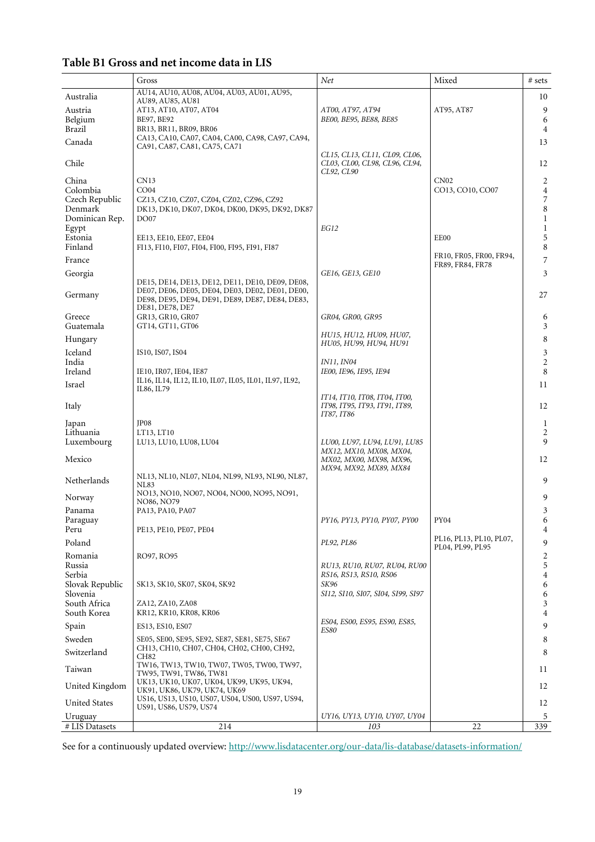# **Table B1 Gross and net income data in LIS**

|                            | Gross                                                                                                     | Net                                                                          | Mixed                                       | # sets                           |
|----------------------------|-----------------------------------------------------------------------------------------------------------|------------------------------------------------------------------------------|---------------------------------------------|----------------------------------|
| Australia                  | AU14, AU10, AU08, AU04, AU03, AU01, AU95,<br>AU89, AU85, AU81                                             |                                                                              |                                             | 10                               |
| Austria                    | AT13, AT10, AT07, AT04                                                                                    | AT00, AT97, AT94                                                             | AT95, AT87                                  | 9                                |
| Belgium                    | BE97, BE92                                                                                                | BE00, BE95, BE88, BE85                                                       |                                             | 6                                |
| <b>Brazil</b>              | BR13, BR11, BR09, BR06<br>CA13, CA10, CA07, CA04, CA00, CA98, CA97, CA94,                                 |                                                                              |                                             | 4                                |
| Canada                     | CA91, CA87, CA81, CA75, CA71                                                                              |                                                                              |                                             | 13                               |
| Chile                      |                                                                                                           | CL15, CL13, CL11, CL09, CL06,<br>CL03, CL00, CL98, CL96, CL94,<br>CL92, CL90 |                                             | 12                               |
| China                      | CN13                                                                                                      |                                                                              | CN02                                        | 2                                |
| Colombia<br>Czech Republic | CO04<br>CZ13, CZ10, CZ07, CZ04, CZ02, CZ96, CZ92                                                          |                                                                              | CO13, CO10, CO07                            | $\overline{4}$<br>$\overline{7}$ |
| Denmark                    | DK13, DK10, DK07, DK04, DK00, DK95, DK92, DK87                                                            |                                                                              |                                             | $\,$ 8 $\,$                      |
| Dominican Rep.             | DO07                                                                                                      |                                                                              |                                             | $\mathbf{1}$                     |
| Egypt<br>Estonia           | EE13, EE10, EE07, EE04                                                                                    | <i>EG12</i>                                                                  | EE00                                        | $\mathbf{1}$<br>$\mathfrak s$    |
| Finland                    | FI13, FI10, FI07, FI04, FI00, FI95, FI91, FI87                                                            |                                                                              |                                             | 8                                |
| France                     |                                                                                                           |                                                                              | FR10, FR05, FR00, FR94,<br>FR89, FR84, FR78 | $\overline{7}$                   |
| Georgia                    |                                                                                                           | GE16, GE13, GE10                                                             |                                             | 3                                |
|                            | DE15, DE14, DE13, DE12, DE11, DE10, DE09, DE08,<br>DE07, DE06, DE05, DE04, DE03, DE02, DE01, DE00,        |                                                                              |                                             |                                  |
| Germany                    | DE98, DE95, DE94, DE91, DE89, DE87, DE84, DE83,                                                           |                                                                              |                                             | 27                               |
| Greece                     | DE81, DE78, DE7<br>GR13, GR10, GR07                                                                       | GR04, GR00, GR95                                                             |                                             | 6                                |
| Guatemala                  | GT14, GT11, GT06                                                                                          |                                                                              |                                             | 3                                |
| Hungary                    |                                                                                                           | HU15, HU12, HU09, HU07,<br>HU05, HU99, HU94, HU91                            |                                             | 8                                |
| Iceland                    | IS10, IS07, IS04                                                                                          |                                                                              |                                             | 3                                |
| India                      |                                                                                                           | <i>IN11</i> , <i>IN04</i>                                                    |                                             | $\sqrt{2}$                       |
| Ireland                    | IE10, IR07, IE04, IE87<br>IL16, IL14, IL12, IL10, IL07, IL05, IL01, IL97, IL92,                           | IE00, IE96, IE95, IE94                                                       |                                             | 8                                |
| Israel                     | IL86, IL79                                                                                                |                                                                              |                                             | 11                               |
| Italy                      |                                                                                                           | IT14, IT10, IT08, IT04, IT00,<br>IT98, IT95, IT93, IT91, IT89,<br>IT87, IT86 |                                             | 12                               |
| Japan                      | JP <sub>08</sub>                                                                                          |                                                                              |                                             | $\mathbf{1}$                     |
| Lithuania                  | LT13, LT10                                                                                                |                                                                              |                                             | 2<br>9                           |
| Luxembourg                 | LU13, LU10, LU08, LU04                                                                                    | LU00, LU97, LU94, LU91, LU85<br>MX12, MX10, MX08, MX04,                      |                                             |                                  |
| Mexico                     |                                                                                                           | MX02, MX00, MX98, MX96,                                                      |                                             | 12                               |
| Netherlands                | NL13, NL10, NL07, NL04, NL99, NL93, NL90, NL87,<br>NL83                                                   | MX94, MX92, MX89, MX84                                                       |                                             | 9                                |
| Norway                     | NO13, NO10, NO07, NO04, NO00, NO95, NO91,                                                                 |                                                                              |                                             | 9                                |
| Panama                     | NO86, NO79<br>PA13, PA10, PA07                                                                            |                                                                              |                                             | 3                                |
| Paraguay                   |                                                                                                           | PY16, PY13, PY10, PY07, PY00                                                 | PY04                                        | 6                                |
| Peru                       | PE13, PE10, PE07, PE04                                                                                    |                                                                              |                                             | 4                                |
| Poland                     |                                                                                                           | PL92, PL86                                                                   | PL16, PL13, PL10, PL07,<br>PL04, PL99, PL95 | 9                                |
| Romania                    | RO97, RO95                                                                                                |                                                                              |                                             | 2                                |
| Russia<br>Serbia           |                                                                                                           | RU13, RU10, RU07, RU04, RU00<br>RS16, RS13, RS10, RS06                       |                                             | 5<br>$\overline{4}$              |
| Slovak Republic            | SK13, SK10, SK07, SK04, SK92                                                                              | <b>SK96</b>                                                                  |                                             | 6                                |
| Slovenia<br>South Africa   | ZA12, ZA10, ZA08                                                                                          | SI12, SI10, SI07, SI04, SI99, SI97                                           |                                             | 6<br>3                           |
| South Korea                | KR12, KR10, KR08, KR06                                                                                    |                                                                              |                                             | $\overline{4}$                   |
| Spain                      | ES13, ES10, ES07                                                                                          | ES04, ES00, ES95, ES90, ES85,                                                |                                             | 9                                |
| Sweden                     | SE05, SE00, SE95, SE92, SE87, SE81, SE75, SE67                                                            | <i>ES80</i>                                                                  |                                             | 8                                |
| Switzerland                | CH13, CH10, CH07, CH04, CH02, CH00, CH92,<br>CH82                                                         |                                                                              |                                             | 8                                |
| Taiwan                     | TW16, TW13, TW10, TW07, TW05, TW00, TW97,<br>TW95, TW91, TW86, TW81                                       |                                                                              |                                             | 11                               |
| United Kingdom             | UK13, UK10, UK07, UK04, UK99, UK95, UK94,                                                                 |                                                                              |                                             | 12                               |
| <b>United States</b>       | UK91, UK86, UK79, UK74, UK69<br>US16, US13, US10, US07, US04, US00, US97, US94,<br>US91, US86, US79, US74 |                                                                              |                                             | 12                               |
| Uruguay                    |                                                                                                           | UY16, UY13, UY10, UY07, UY04                                                 |                                             | 5                                |
| # LIS Datasets             | 214                                                                                                       | 103                                                                          | 22                                          | 339                              |

See for a continuously updated overview:<http://www.lisdatacenter.org/our-data/lis-database/datasets-information/>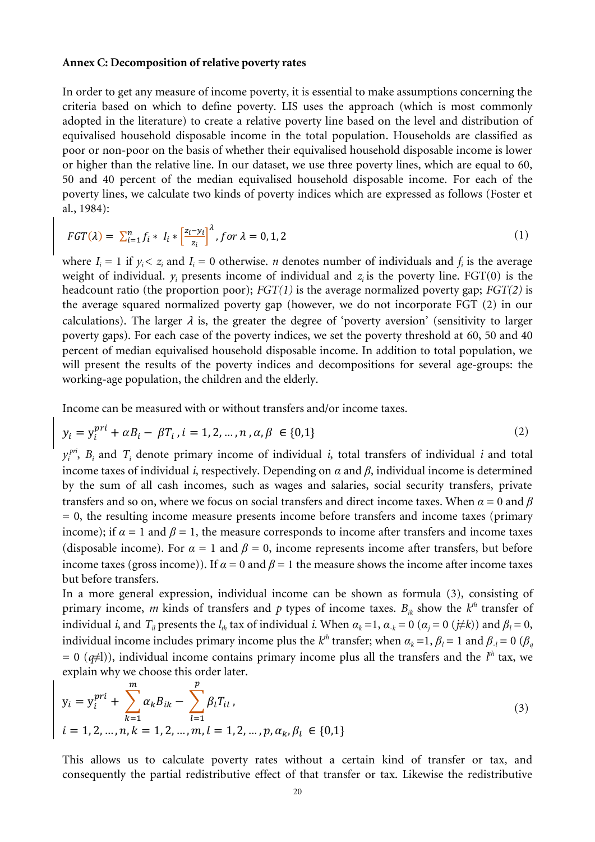#### **Annex C: Decomposition of relative poverty rates**

In order to get any measure of income poverty, it is essential to make assumptions concerning the criteria based on which to define poverty. LIS uses the approach (which is most commonly adopted in the literature) to create a relative poverty line based on the level and distribution of equivalised household disposable income in the total population. Households are classified as poor or non-poor on the basis of whether their equivalised household disposable income is lower or higher than the relative line. In our dataset, we use three poverty lines, which are equal to 60, 50 and 40 percent of the median equivalised household disposable income. For each of the poverty lines, we calculate two kinds of poverty indices which are expressed as follows (Foster et al., 1984):

$$
FGT(\lambda) = \sum_{i=1}^{n} f_i * I_i * \left[\frac{z_i - y_i}{z_i}\right]^{\lambda}, \text{for } \lambda = 0, 1, 2
$$
\n
$$
(1)
$$

where  $I_i = 1$  if  $y_i < z_i$  and  $I_i = 0$  otherwise. *n* denotes number of individuals and  $f_i$  is the average weight of individual.  $y_i$  presents income of individual and  $z_i$  is the poverty line. FGT(0) is the headcount ratio (the proportion poor); *FGT(1)* is the average normalized poverty gap; *FGT(2)* is the average squared normalized poverty gap (however, we do not incorporate FGT (2) in our calculations). The larger  $\lambda$  is, the greater the degree of 'poverty aversion' (sensitivity to larger poverty gaps). For each case of the poverty indices, we set the poverty threshold at 60, 50 and 40 percent of median equivalised household disposable income. In addition to total population, we will present the results of the poverty indices and decompositions for several age-groups: the working-age population, the children and the elderly.

Income can be measured with or without transfers and/or income taxes.

$$
y_i = y_i^{pri} + \alpha B_i - \beta T_i, i = 1, 2, ..., n, \alpha, \beta \in \{0, 1\}
$$
 (2)

 $y_i^{pri}$ ,  $B_i$  and  $T_i$  denote primary income of individual *i*, total transfers of individual *i* and total income taxes of individual *i*, respectively. Depending on *α* and *β*, individual income is determined by the sum of all cash incomes, such as wages and salaries, social security transfers, private transfers and so on, where we focus on social transfers and direct income taxes. When  $\alpha = 0$  and  $\beta$  $= 0$ , the resulting income measure presents income before transfers and income taxes (primary income); if  $\alpha = 1$  and  $\beta = 1$ , the measure corresponds to income after transfers and income taxes (disposable income). For  $\alpha = 1$  and  $\beta = 0$ , income represents income after transfers, but before income taxes (gross income)). If  $\alpha = 0$  and  $\beta = 1$  the measure shows the income after income taxes but before transfers.

In a more general expression, individual income can be shown as formula (3), consisting of primary income,  $m$  kinds of transfers and  $p$  types of income taxes.  $B_{ik}$  show the  $k^{th}$  transfer of individual *i*, and  $T_i$  presents the  $l_{th}$  tax of individual *i*. When  $\alpha_k = 1$ ,  $\alpha_{\overline{k}} = 0$  ( $\alpha_j = 0$  ( $\neq k$ )) and  $\beta_l = 0$ , individual income includes primary income plus the  $k^{th}$  transfer; when  $a_k$  =1,  $\beta_l$  = 1 and  $\beta_{l^I}$  = 0 ( $\beta_{q^I}$  $= 0$  (*q*≠l)), individual income contains primary income plus all the transfers and the *l*<sup>th</sup> tax, we explain why we choose this order later.

$$
y_i = y_i^{pri} + \sum_{k=1}^{m} \alpha_k B_{ik} - \sum_{l=1}^{p} \beta_l T_{il},
$$
  
\n
$$
i = 1, 2, ..., n, k = 1, 2, ..., m, l = 1, 2, ..., p, \alpha_k, \beta_l \in \{0, 1\}
$$
 (3)

This allows us to calculate poverty rates without a certain kind of transfer or tax, and consequently the partial redistributive effect of that transfer or tax. Likewise the redistributive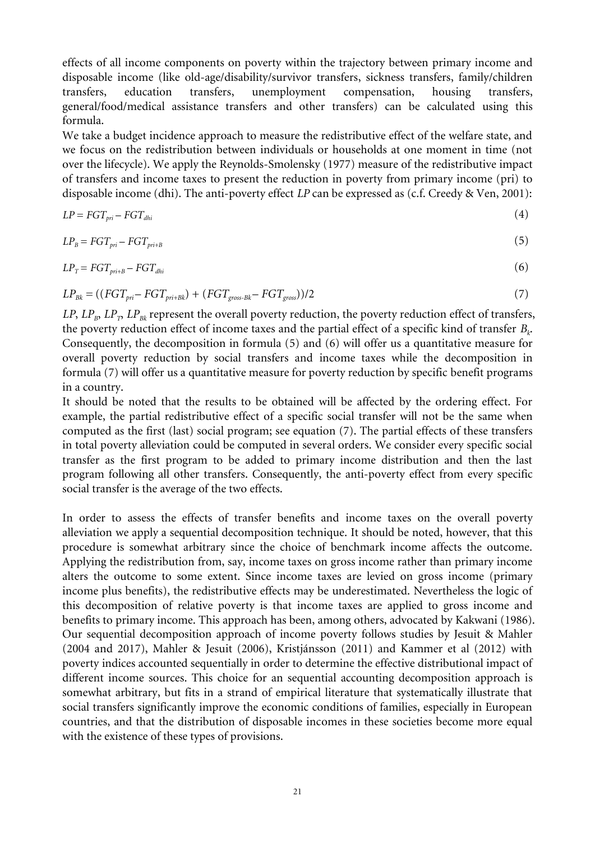effects of all income components on poverty within the trajectory between primary income and disposable income (like old-age/disability/survivor transfers, sickness transfers, family/children transfers, education transfers, unemployment compensation, housing transfers, general/food/medical assistance transfers and other transfers) can be calculated using this formula.

We take a budget incidence approach to measure the redistributive effect of the welfare state, and we focus on the redistribution between individuals or households at one moment in time (not over the lifecycle). We apply the Reynolds-Smolensky (1977) measure of the redistributive impact of transfers and income taxes to present the reduction in poverty from primary income (pri) to disposable income (dhi). The anti-poverty effect *LP* can be expressed as (c.f. Creedy & Ven, 2001):

$$
LP = FGT_{pri} - FGT_{dhi} \tag{4}
$$

$$
LP_{B} = FGT_{pri} - FGT_{pri+B} \tag{5}
$$

$$
LP_T = FGT_{pri+B} - FGT_{dhi} \tag{6}
$$

$$
LP_{Bk} = ((FGT_{pri} - FGT_{pri+Bk}) + (FGT_{gross-Bk} - FGT_{gross}))/2
$$
\n
$$
(7)
$$

*LP*,  $LP_{B}$ ,  $LP_{T}$ ,  $LP_{Bk}$  represent the overall poverty reduction, the poverty reduction effect of transfers, the poverty reduction effect of income taxes and the partial effect of a specific kind of transfer *B<sup>k</sup>* . Consequently, the decomposition in formula (5) and (6) will offer us a quantitative measure for overall poverty reduction by social transfers and income taxes while the decomposition in formula (7) will offer us a quantitative measure for poverty reduction by specific benefit programs in a country.

It should be noted that the results to be obtained will be affected by the ordering effect. For example, the partial redistributive effect of a specific social transfer will not be the same when computed as the first (last) social program; see equation (7). The partial effects of these transfers in total poverty alleviation could be computed in several orders. We consider every specific social transfer as the first program to be added to primary income distribution and then the last program following all other transfers. Consequently, the anti-poverty effect from every specific social transfer is the average of the two effects.

In order to assess the effects of transfer benefits and income taxes on the overall poverty alleviation we apply a sequential decomposition technique. It should be noted, however, that this procedure is somewhat arbitrary since the choice of benchmark income affects the outcome. Applying the redistribution from, say, income taxes on gross income rather than primary income alters the outcome to some extent. Since income taxes are levied on gross income (primary income plus benefits), the redistributive effects may be underestimated. Nevertheless the logic of this decomposition of relative poverty is that income taxes are applied to gross income and benefits to primary income. This approach has been, among others, advocated by Kakwani (1986). Our sequential decomposition approach of income poverty follows studies by Jesuit & Mahler (2004 and 2017), Mahler & Jesuit (2006), Kristjánsson (2011) and Kammer et al (2012) with poverty indices accounted sequentially in order to determine the effective distributional impact of different income sources. This choice for an sequential accounting decomposition approach is somewhat arbitrary, but fits in a strand of empirical literature that systematically illustrate that social transfers significantly improve the economic conditions of families, especially in European countries, and that the distribution of disposable incomes in these societies become more equal with the existence of these types of provisions.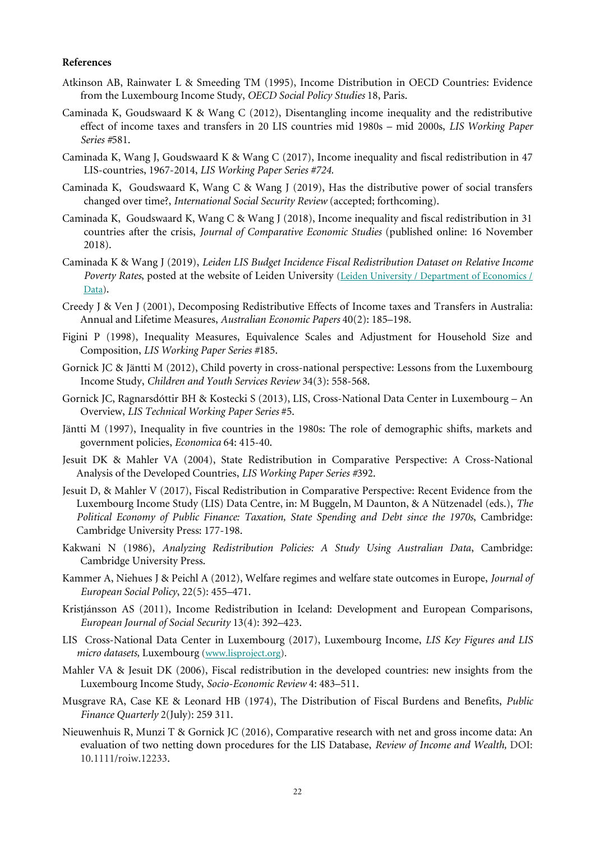#### **References**

- Atkinson AB, Rainwater L & Smeeding TM (1995), Income Distribution in OECD Countries: Evidence from the Luxembourg Income Study, *OECD Social Policy Studies* 18, Paris.
- Caminada K, Goudswaard K & Wang C (2012), Disentangling income inequality and the redistributive effect of income taxes and transfers in 20 LIS countries mid 1980s – mid 2000s, *LIS Working Paper Series #*581.
- Caminada K, Wang J, Goudswaard K & Wang C (2017), Income inequality and fiscal redistribution in 47 LIS-countries, 1967-2014, *LIS Working Paper Series #724.*
- Caminada K, Goudswaard K, Wang C & Wang J (2019), Has the distributive power of social transfers changed over time?, *International Social Security Review* (accepted; forthcoming).
- Caminada K, Goudswaard K, Wang C & Wang J (2018), Income inequality and fiscal redistribution in 31 countries after the crisis, *Journal of Comparative Economic Studies* (published online: 16 November 2018).
- Caminada K & Wang J (2019), *Leiden LIS Budget Incidence Fiscal Redistribution Dataset on Relative Income Poverty Rates*, posted at the website of Leiden University [\(Leiden University / Department of Economics /](https://www.universiteitleiden.nl/en/law/institute-for-tax-law-and-economics/economics/data-sets)  [Data\)](https://www.universiteitleiden.nl/en/law/institute-for-tax-law-and-economics/economics/data-sets).
- Creedy J & Ven J (2001), Decomposing Redistributive Effects of Income taxes and Transfers in Australia: Annual and Lifetime Measures, *Australian Economic Papers* 40(2): 185–198.
- Figini P (1998), Inequality Measures, Equivalence Scales and Adjustment for Household Size and Composition, *LIS Working Paper Series #*185.
- Gornick JC & Jäntti M (2012), Child poverty in cross-national perspective: Lessons from the Luxembourg Income Study, *Children and Youth Services Review* 34(3): 558-568.
- Gornick JC, Ragnarsdóttir BH & Kostecki S (2013), LIS, Cross-National Data Center in Luxembourg An Overview, *LIS Technical Working Paper Series* #5.
- Jäntti M (1997), Inequality in five countries in the 1980s: The role of demographic shifts, markets and government policies, *Economica* 64: 415-40.
- Jesuit DK & Mahler VA (2004), State Redistribution in Comparative Perspective: A Cross-National Analysis of the Developed Countries, *LIS Working Paper Series #*392.
- Jesuit D, & Mahler V (2017), Fiscal Redistribution in Comparative Perspective: Recent Evidence from the Luxembourg Income Study (LIS) Data Centre, in: M Buggeln, M Daunton, & A Nützenadel (eds.), *The Political Economy of Public Finance: Taxation, State Spending and Debt since the 1970s*, Cambridge: Cambridge University Press: 177-198.
- Kakwani N (1986), *Analyzing Redistribution Policies: A Study Using Australian Data*, Cambridge: Cambridge University Press.
- Kammer A, Niehues J & Peichl A (2012), Welfare regimes and welfare state outcomes in Europe, *Journal of European Social Policy*, 22(5): 455–471.
- Kristjánsson AS (2011), Income Redistribution in Iceland: Development and European Comparisons, *European Journal of Social Security* 13(4): 392–423.
- LIS Cross-National Data Center in Luxembourg (2017), Luxembourg Income, *LIS Key Figures and LIS micro datasets,* Luxembourg [\(www.lisproject.org\)](http://www.lisproject.org/).
- Mahler VA & Jesuit DK (2006), Fiscal redistribution in the developed countries: new insights from the Luxembourg Income Study, *Socio-Economic Review* 4: 483–511.
- Musgrave RA, Case KE & Leonard HB (1974), The Distribution of Fiscal Burdens and Benefits, *Public Finance Quarterly* 2(July): 259 311.
- Nieuwenhuis R, Munzi T & Gornick JC (2016), Comparative research with net and gross income data: An evaluation of two netting down procedures for the LIS Database, *Review of Income and Wealth,* DOI: 10.1111/roiw.12233.